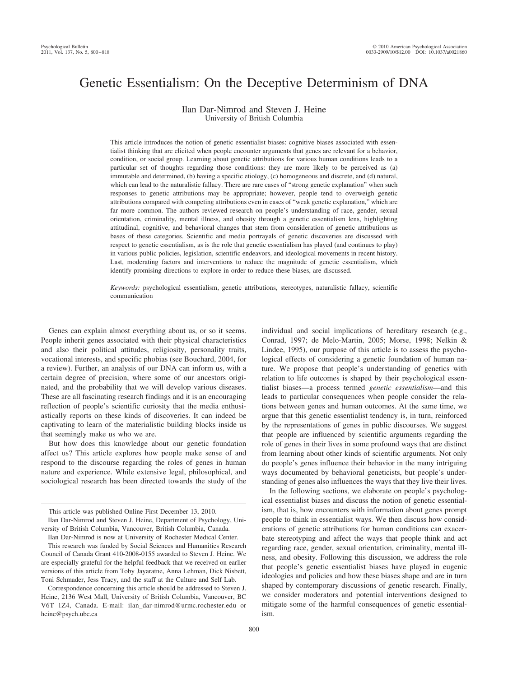# Genetic Essentialism: On the Deceptive Determinism of DNA

Ilan Dar-Nimrod and Steven J. Heine University of British Columbia

This article introduces the notion of genetic essentialist biases: cognitive biases associated with essentialist thinking that are elicited when people encounter arguments that genes are relevant for a behavior, condition, or social group. Learning about genetic attributions for various human conditions leads to a particular set of thoughts regarding those conditions: they are more likely to be perceived as (a) immutable and determined, (b) having a specific etiology, (c) homogeneous and discrete, and (d) natural, which can lead to the naturalistic fallacy. There are rare cases of "strong genetic explanation" when such responses to genetic attributions may be appropriate; however, people tend to overweigh genetic attributions compared with competing attributions even in cases of "weak genetic explanation," which are far more common. The authors reviewed research on people's understanding of race, gender, sexual orientation, criminality, mental illness, and obesity through a genetic essentialism lens, highlighting attitudinal, cognitive, and behavioral changes that stem from consideration of genetic attributions as bases of these categories. Scientific and media portrayals of genetic discoveries are discussed with respect to genetic essentialism, as is the role that genetic essentialism has played (and continues to play) in various public policies, legislation, scientific endeavors, and ideological movements in recent history. Last, moderating factors and interventions to reduce the magnitude of genetic essentialism, which identify promising directions to explore in order to reduce these biases, are discussed.

*Keywords:* psychological essentialism, genetic attributions, stereotypes, naturalistic fallacy, scientific communication

Genes can explain almost everything about us, or so it seems. People inherit genes associated with their physical characteristics and also their political attitudes, religiosity, personality traits, vocational interests, and specific phobias (see Bouchard, 2004, for a review). Further, an analysis of our DNA can inform us, with a certain degree of precision, where some of our ancestors originated, and the probability that we will develop various diseases. These are all fascinating research findings and it is an encouraging reflection of people's scientific curiosity that the media enthusiastically reports on these kinds of discoveries. It can indeed be captivating to learn of the materialistic building blocks inside us that seemingly make us who we are.

But how does this knowledge about our genetic foundation affect us? This article explores how people make sense of and respond to the discourse regarding the roles of genes in human nature and experience. While extensive legal, philosophical, and sociological research has been directed towards the study of the individual and social implications of hereditary research (e.g., Conrad, 1997; de Melo-Martin, 2005; Morse, 1998; Nelkin & Lindee, 1995), our purpose of this article is to assess the psychological effects of considering a genetic foundation of human nature. We propose that people's understanding of genetics with relation to life outcomes is shaped by their psychological essentialist biases—a process termed *genetic essentialism*—and this leads to particular consequences when people consider the relations between genes and human outcomes. At the same time, we argue that this genetic essentialist tendency is, in turn, reinforced by the representations of genes in public discourses. We suggest that people are influenced by scientific arguments regarding the role of genes in their lives in some profound ways that are distinct from learning about other kinds of scientific arguments. Not only do people's genes influence their behavior in the many intriguing ways documented by behavioral geneticists, but people's understanding of genes also influences the ways that they live their lives.

In the following sections, we elaborate on people's psychological essentialist biases and discuss the notion of genetic essentialism, that is, how encounters with information about genes prompt people to think in essentialist ways. We then discuss how considerations of genetic attributions for human conditions can exacerbate stereotyping and affect the ways that people think and act regarding race, gender, sexual orientation, criminality, mental illness, and obesity. Following this discussion, we address the role that people's genetic essentialist biases have played in eugenic ideologies and policies and how these biases shape and are in turn shaped by contemporary discussions of genetic research. Finally, we consider moderators and potential interventions designed to mitigate some of the harmful consequences of genetic essentialism.

This article was published Online First December 13, 2010.

Ilan Dar-Nimrod and Steven J. Heine, Department of Psychology, University of British Columbia, Vancouver, British Columbia, Canada.

Ilan Dar-Nimrod is now at University of Rochester Medical Center.

This research was funded by Social Sciences and Humanities Research Council of Canada Grant 410-2008-0155 awarded to Steven J. Heine. We are especially grateful for the helpful feedback that we received on earlier versions of this article from Toby Jayaratne, Anna Lehman, Dick Nisbett, Toni Schmader, Jess Tracy, and the staff at the Culture and Self Lab.

Correspondence concerning this article should be addressed to Steven J. Heine, 2136 West Mall, University of British Columbia, Vancouver, BC V6T 1Z4, Canada. E-mail: ilan\_dar-nimrod@urmc.rochester.edu or heine@psych.ubc.ca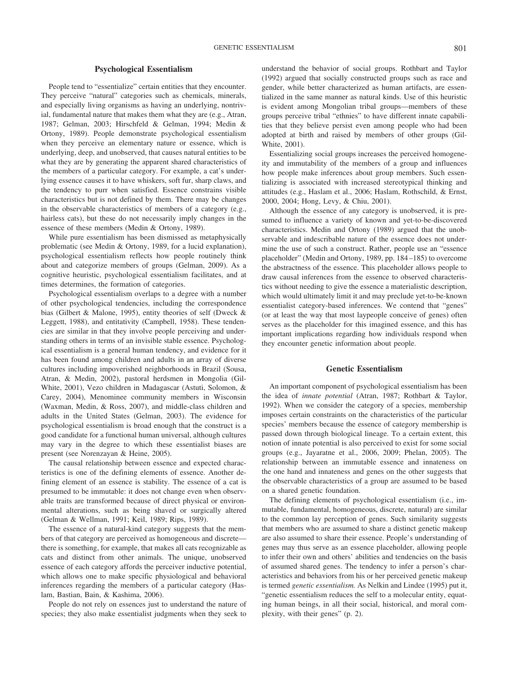## **Psychological Essentialism**

People tend to "essentialize" certain entities that they encounter. They perceive "natural" categories such as chemicals, minerals, and especially living organisms as having an underlying, nontrivial, fundamental nature that makes them what they are (e.g., Atran, 1987; Gelman, 2003; Hirschfeld & Gelman, 1994; Medin & Ortony, 1989). People demonstrate psychological essentialism when they perceive an elementary nature or essence, which is underlying, deep, and unobserved, that causes natural entities to be what they are by generating the apparent shared characteristics of the members of a particular category. For example, a cat's underlying essence causes it to have whiskers, soft fur, sharp claws, and the tendency to purr when satisfied. Essence constrains visible characteristics but is not defined by them. There may be changes in the observable characteristics of members of a category (e.g., hairless cats), but these do not necessarily imply changes in the essence of these members (Medin & Ortony, 1989).

While pure essentialism has been dismissed as metaphysically problematic (see Medin & Ortony, 1989, for a lucid explanation), psychological essentialism reflects how people routinely think about and categorize members of groups (Gelman, 2009). As a cognitive heuristic, psychological essentialism facilitates, and at times determines, the formation of categories.

Psychological essentialism overlaps to a degree with a number of other psychological tendencies, including the correspondence bias (Gilbert & Malone, 1995), entity theories of self (Dweck & Leggett, 1988), and entitativity (Campbell, 1958). These tendencies are similar in that they involve people perceiving and understanding others in terms of an invisible stable essence. Psychological essentialism is a general human tendency, and evidence for it has been found among children and adults in an array of diverse cultures including impoverished neighborhoods in Brazil (Sousa, Atran, & Medin, 2002), pastoral herdsmen in Mongolia (Gil-White, 2001), Vezo children in Madagascar (Astuti, Solomon, & Carey, 2004), Menominee community members in Wisconsin (Waxman, Medin, & Ross, 2007), and middle-class children and adults in the United States (Gelman, 2003). The evidence for psychological essentialism is broad enough that the construct is a good candidate for a functional human universal, although cultures may vary in the degree to which these essentialist biases are present (see Norenzayan & Heine, 2005).

The causal relationship between essence and expected characteristics is one of the defining elements of essence. Another defining element of an essence is stability. The essence of a cat is presumed to be immutable: it does not change even when observable traits are transformed because of direct physical or environmental alterations, such as being shaved or surgically altered (Gelman & Wellman, 1991; Keil, 1989; Rips, 1989).

The essence of a natural-kind category suggests that the members of that category are perceived as homogeneous and discrete there is something, for example, that makes all cats recognizable as cats and distinct from other animals. The unique, unobserved essence of each category affords the perceiver inductive potential, which allows one to make specific physiological and behavioral inferences regarding the members of a particular category (Haslam, Bastian, Bain, & Kashima, 2006).

People do not rely on essences just to understand the nature of species; they also make essentialist judgments when they seek to understand the behavior of social groups. Rothbart and Taylor (1992) argued that socially constructed groups such as race and gender, while better characterized as human artifacts, are essentialized in the same manner as natural kinds. Use of this heuristic is evident among Mongolian tribal groups—members of these groups perceive tribal "ethnies" to have different innate capabilities that they believe persist even among people who had been adopted at birth and raised by members of other groups (Gil-White, 2001).

Essentializing social groups increases the perceived homogeneity and immutability of the members of a group and influences how people make inferences about group members. Such essentializing is associated with increased stereotypical thinking and attitudes (e.g., Haslam et al., 2006; Haslam, Rothschild, & Ernst, 2000, 2004; Hong, Levy, & Chiu, 2001).

Although the essence of any category is unobserved, it is presumed to influence a variety of known and yet-to-be-discovered characteristics. Medin and Ortony (1989) argued that the unobservable and indescribable nature of the essence does not undermine the use of such a construct. Rather, people use an "essence placeholder" (Medin and Ortony, 1989, pp. 184 –185) to overcome the abstractness of the essence. This placeholder allows people to draw causal inferences from the essence to observed characteristics without needing to give the essence a materialistic description, which would ultimately limit it and may preclude yet-to-be-known essentialist category-based inferences. We contend that "genes" (or at least the way that most laypeople conceive of genes) often serves as the placeholder for this imagined essence, and this has important implications regarding how individuals respond when they encounter genetic information about people.

## **Genetic Essentialism**

An important component of psychological essentialism has been the idea of *innate potential* (Atran, 1987; Rothbart & Taylor, 1992). When we consider the category of a species, membership imposes certain constraints on the characteristics of the particular species' members because the essence of category membership is passed down through biological lineage. To a certain extent, this notion of innate potential is also perceived to exist for some social groups (e.g., Jayaratne et al., 2006, 2009; Phelan, 2005). The relationship between an immutable essence and innateness on the one hand and innateness and genes on the other suggests that the observable characteristics of a group are assumed to be based on a shared genetic foundation.

The defining elements of psychological essentialism (i.e., immutable, fundamental, homogeneous, discrete, natural) are similar to the common lay perception of genes. Such similarity suggests that members who are assumed to share a distinct genetic makeup are also assumed to share their essence. People's understanding of genes may thus serve as an essence placeholder, allowing people to infer their own and others' abilities and tendencies on the basis of assumed shared genes. The tendency to infer a person's characteristics and behaviors from his or her perceived genetic makeup is termed *genetic essentialism.* As Nelkin and Lindee (1995) put it, "genetic essentialism reduces the self to a molecular entity, equating human beings, in all their social, historical, and moral complexity, with their genes" (p. 2).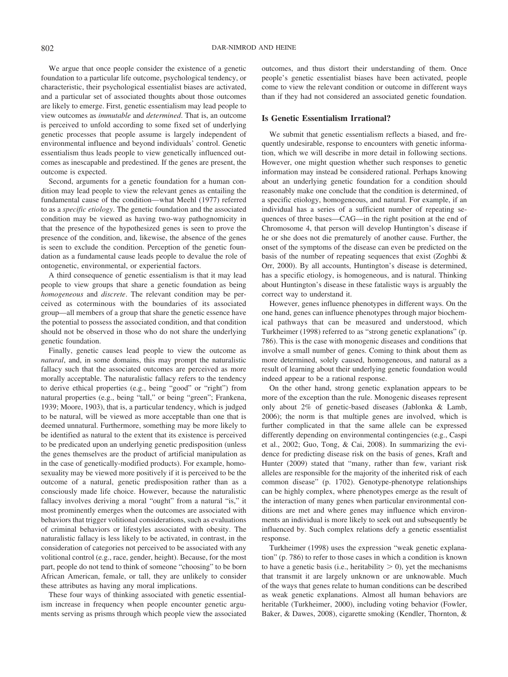We argue that once people consider the existence of a genetic foundation to a particular life outcome, psychological tendency, or characteristic, their psychological essentialist biases are activated, and a particular set of associated thoughts about those outcomes are likely to emerge. First, genetic essentialism may lead people to view outcomes as *immutable* and *determined*. That is, an outcome is perceived to unfold according to some fixed set of underlying genetic processes that people assume is largely independent of environmental influence and beyond individuals' control. Genetic essentialism thus leads people to view genetically influenced outcomes as inescapable and predestined. If the genes are present, the outcome is expected.

Second, arguments for a genetic foundation for a human condition may lead people to view the relevant genes as entailing the fundamental cause of the condition—what Meehl (1977) referred to as a *specific etiology*. The genetic foundation and the associated condition may be viewed as having two-way pathognomicity in that the presence of the hypothesized genes is seen to prove the presence of the condition, and, likewise, the absence of the genes is seen to exclude the condition. Perception of the genetic foundation as a fundamental cause leads people to devalue the role of ontogenetic, environmental, or experiential factors.

A third consequence of genetic essentialism is that it may lead people to view groups that share a genetic foundation as being *homogeneous* and *discrete*. The relevant condition may be perceived as coterminous with the boundaries of its associated group—all members of a group that share the genetic essence have the potential to possess the associated condition, and that condition should not be observed in those who do not share the underlying genetic foundation.

Finally, genetic causes lead people to view the outcome as *natural*, and, in some domains, this may prompt the naturalistic fallacy such that the associated outcomes are perceived as more morally acceptable. The naturalistic fallacy refers to the tendency to derive ethical properties (e.g., being "good" or "right") from natural properties (e.g., being "tall," or being "green"; Frankena, 1939; Moore, 1903), that is, a particular tendency, which is judged to be natural, will be viewed as more acceptable than one that is deemed unnatural. Furthermore, something may be more likely to be identified as natural to the extent that its existence is perceived to be predicated upon an underlying genetic predisposition (unless the genes themselves are the product of artificial manipulation as in the case of genetically-modified products). For example, homosexuality may be viewed more positively if it is perceived to be the outcome of a natural, genetic predisposition rather than as a consciously made life choice. However, because the naturalistic fallacy involves deriving a moral "ought" from a natural "is," it most prominently emerges when the outcomes are associated with behaviors that trigger volitional considerations, such as evaluations of criminal behaviors or lifestyles associated with obesity. The naturalistic fallacy is less likely to be activated, in contrast, in the consideration of categories not perceived to be associated with any volitional control (e.g., race, gender, height). Because, for the most part, people do not tend to think of someone "choosing" to be born African American, female, or tall, they are unlikely to consider these attributes as having any moral implications.

These four ways of thinking associated with genetic essentialism increase in frequency when people encounter genetic arguments serving as prisms through which people view the associated outcomes, and thus distort their understanding of them. Once people's genetic essentialist biases have been activated, people come to view the relevant condition or outcome in different ways than if they had not considered an associated genetic foundation.

## **Is Genetic Essentialism Irrational?**

We submit that genetic essentialism reflects a biased, and frequently undesirable, response to encounters with genetic information, which we will describe in more detail in following sections. However, one might question whether such responses to genetic information may instead be considered rational. Perhaps knowing about an underlying genetic foundation for a condition should reasonably make one conclude that the condition is determined, of a specific etiology, homogeneous, and natural. For example, if an individual has a series of a sufficient number of repeating sequences of three bases—CAG—in the right position at the end of Chromosome 4, that person will develop Huntington's disease if he or she does not die prematurely of another cause. Further, the onset of the symptoms of the disease can even be predicted on the basis of the number of repeating sequences that exist (Zoghbi & Orr, 2000). By all accounts, Huntington's disease is determined, has a specific etiology, is homogeneous, and is natural. Thinking about Huntington's disease in these fatalistic ways is arguably the correct way to understand it.

However, genes influence phenotypes in different ways. On the one hand, genes can influence phenotypes through major biochemical pathways that can be measured and understood, which Turkheimer (1998) referred to as "strong genetic explanations" (p. 786). This is the case with monogenic diseases and conditions that involve a small number of genes. Coming to think about them as more determined, solely caused, homogeneous, and natural as a result of learning about their underlying genetic foundation would indeed appear to be a rational response.

On the other hand, strong genetic explanation appears to be more of the exception than the rule. Monogenic diseases represent only about 2% of genetic-based diseases (Jablonka & Lamb, 2006); the norm is that multiple genes are involved, which is further complicated in that the same allele can be expressed differently depending on environmental contingencies (e.g., Caspi et al., 2002; Guo, Tong, & Cai, 2008). In summarizing the evidence for predicting disease risk on the basis of genes, Kraft and Hunter (2009) stated that "many, rather than few, variant risk alleles are responsible for the majority of the inherited risk of each common disease" (p. 1702). Genotype-phenotype relationships can be highly complex, where phenotypes emerge as the result of the interaction of many genes when particular environmental conditions are met and where genes may influence which environments an individual is more likely to seek out and subsequently be influenced by. Such complex relations defy a genetic essentialist response.

Turkheimer (1998) uses the expression "weak genetic explanation" (p. 786) to refer to those cases in which a condition is known to have a genetic basis (i.e., heritability  $> 0$ ), yet the mechanisms that transmit it are largely unknown or are unknowable. Much of the ways that genes relate to human conditions can be described as weak genetic explanations. Almost all human behaviors are heritable (Turkheimer, 2000), including voting behavior (Fowler, Baker, & Dawes, 2008), cigarette smoking (Kendler, Thornton, &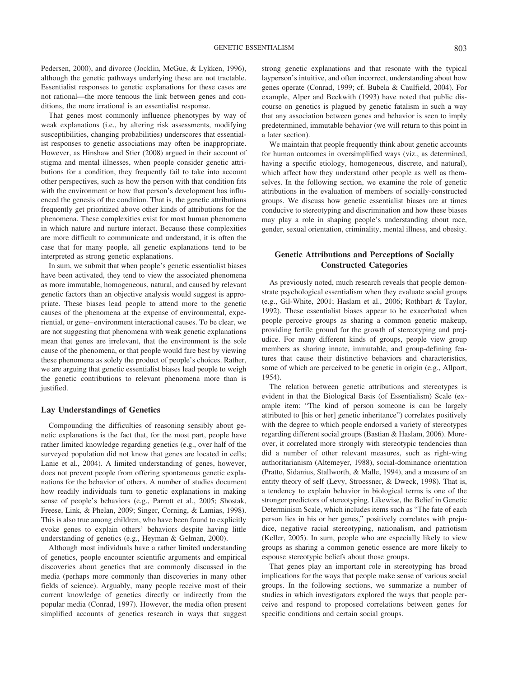Pedersen, 2000), and divorce (Jocklin, McGue, & Lykken, 1996), although the genetic pathways underlying these are not tractable. Essentialist responses to genetic explanations for these cases are not rational—the more tenuous the link between genes and conditions, the more irrational is an essentialist response.

That genes most commonly influence phenotypes by way of weak explanations (i.e., by altering risk assessments, modifying susceptibilities, changing probabilities) underscores that essentialist responses to genetic associations may often be inappropriate. However, as Hinshaw and Stier (2008) argued in their account of stigma and mental illnesses, when people consider genetic attributions for a condition, they frequently fail to take into account other perspectives, such as how the person with that condition fits with the environment or how that person's development has influenced the genesis of the condition. That is, the genetic attributions frequently get prioritized above other kinds of attributions for the phenomena. These complexities exist for most human phenomena in which nature and nurture interact. Because these complexities are more difficult to communicate and understand, it is often the case that for many people, all genetic explanations tend to be interpreted as strong genetic explanations.

In sum, we submit that when people's genetic essentialist biases have been activated, they tend to view the associated phenomena as more immutable, homogeneous, natural, and caused by relevant genetic factors than an objective analysis would suggest is appropriate. These biases lead people to attend more to the genetic causes of the phenomena at the expense of environmental, experiential, or gene– environment interactional causes. To be clear, we are not suggesting that phenomena with weak genetic explanations mean that genes are irrelevant, that the environment is the sole cause of the phenomena, or that people would fare best by viewing these phenomena as solely the product of people's choices. Rather, we are arguing that genetic essentialist biases lead people to weigh the genetic contributions to relevant phenomena more than is justified.

## **Lay Understandings of Genetics**

Compounding the difficulties of reasoning sensibly about genetic explanations is the fact that, for the most part, people have rather limited knowledge regarding genetics (e.g., over half of the surveyed population did not know that genes are located in cells; Lanie et al., 2004). A limited understanding of genes, however, does not prevent people from offering spontaneous genetic explanations for the behavior of others. A number of studies document how readily individuals turn to genetic explanations in making sense of people's behaviors (e.g., Parrott et al., 2005; Shostak, Freese, Link, & Phelan, 2009; Singer, Corning, & Lamias, 1998). This is also true among children, who have been found to explicitly evoke genes to explain others' behaviors despite having little understanding of genetics (e.g., Heyman & Gelman, 2000).

Although most individuals have a rather limited understanding of genetics, people encounter scientific arguments and empirical discoveries about genetics that are commonly discussed in the media (perhaps more commonly than discoveries in many other fields of science). Arguably, many people receive most of their current knowledge of genetics directly or indirectly from the popular media (Conrad, 1997). However, the media often present simplified accounts of genetics research in ways that suggest strong genetic explanations and that resonate with the typical layperson's intuitive, and often incorrect, understanding about how genes operate (Conrad, 1999; cf. Bubela & Caulfield, 2004). For example, Alper and Beckwith (1993) have noted that public discourse on genetics is plagued by genetic fatalism in such a way that any association between genes and behavior is seen to imply predetermined, immutable behavior (we will return to this point in a later section).

We maintain that people frequently think about genetic accounts for human outcomes in oversimplified ways (viz., as determined, having a specific etiology, homogeneous, discrete, and natural), which affect how they understand other people as well as themselves. In the following section, we examine the role of genetic attributions in the evaluation of members of socially-constructed groups. We discuss how genetic essentialist biases are at times conducive to stereotyping and discrimination and how these biases may play a role in shaping people's understanding about race, gender, sexual orientation, criminality, mental illness, and obesity.

# **Genetic Attributions and Perceptions of Socially Constructed Categories**

As previously noted, much research reveals that people demonstrate psychological essentialism when they evaluate social groups (e.g., Gil-White, 2001; Haslam et al., 2006; Rothbart & Taylor, 1992). These essentialist biases appear to be exacerbated when people perceive groups as sharing a common genetic makeup, providing fertile ground for the growth of stereotyping and prejudice. For many different kinds of groups, people view group members as sharing innate, immutable, and group-defining features that cause their distinctive behaviors and characteristics, some of which are perceived to be genetic in origin (e.g., Allport, 1954).

The relation between genetic attributions and stereotypes is evident in that the Biological Basis (of Essentialism) Scale (example item: "The kind of person someone is can be largely attributed to [his or her] genetic inheritance") correlates positively with the degree to which people endorsed a variety of stereotypes regarding different social groups (Bastian & Haslam, 2006). Moreover, it correlated more strongly with stereotypic tendencies than did a number of other relevant measures, such as right-wing authoritarianism (Altemeyer, 1988), social-dominance orientation (Pratto, Sidanius, Stallworth, & Malle, 1994), and a measure of an entity theory of self (Levy, Stroessner, & Dweck, 1998). That is, a tendency to explain behavior in biological terms is one of the stronger predictors of stereotyping. Likewise, the Belief in Genetic Determinism Scale, which includes items such as "The fate of each person lies in his or her genes," positively correlates with prejudice, negative racial stereotyping, nationalism, and patriotism (Keller, 2005). In sum, people who are especially likely to view groups as sharing a common genetic essence are more likely to espouse stereotypic beliefs about those groups.

That genes play an important role in stereotyping has broad implications for the ways that people make sense of various social groups. In the following sections, we summarize a number of studies in which investigators explored the ways that people perceive and respond to proposed correlations between genes for specific conditions and certain social groups.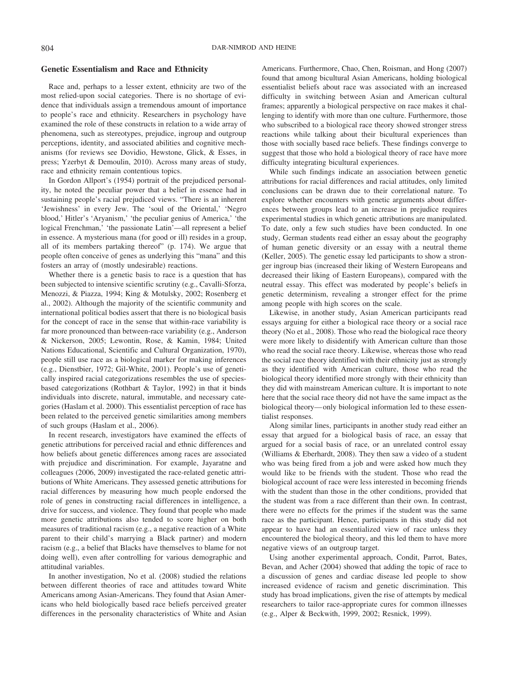## **Genetic Essentialism and Race and Ethnicity**

Race and, perhaps to a lesser extent, ethnicity are two of the most relied-upon social categories. There is no shortage of evidence that individuals assign a tremendous amount of importance to people's race and ethnicity. Researchers in psychology have examined the role of these constructs in relation to a wide array of phenomena, such as stereotypes, prejudice, ingroup and outgroup perceptions, identity, and associated abilities and cognitive mechanisms (for reviews see Dovidio, Hewstone, Glick, & Esses, in press; Yzerbyt & Demoulin, 2010). Across many areas of study, race and ethnicity remain contentious topics.

In Gordon Allport's (1954) portrait of the prejudiced personality, he noted the peculiar power that a belief in essence had in sustaining people's racial prejudiced views. "There is an inherent 'Jewishness' in every Jew. The 'soul of the Oriental,' 'Negro blood,' Hitler's 'Aryanism,' 'the peculiar genius of America,' 'the logical Frenchman,' 'the passionate Latin'—all represent a belief in essence. A mysterious mana (for good or ill) resides in a group, all of its members partaking thereof" (p. 174). We argue that people often conceive of genes as underlying this "mana" and this fosters an array of (mostly undesirable) reactions.

Whether there is a genetic basis to race is a question that has been subjected to intensive scientific scrutiny (e.g., Cavalli-Sforza, Menozzi, & Piazza, 1994; King & Motulsky, 2002; Rosenberg et al., 2002). Although the majority of the scientific community and international political bodies assert that there is no biological basis for the concept of race in the sense that within-race variability is far more pronounced than between-race variability (e.g., Anderson & Nickerson, 2005; Lewontin, Rose, & Kamin, 1984; United Nations Educational, Scientific and Cultural Organization, 1970), people still use race as a biological marker for making inferences (e.g., Dienstbier, 1972; Gil-White, 2001). People's use of genetically inspired racial categorizations resembles the use of speciesbased categorizations (Rothbart & Taylor, 1992) in that it binds individuals into discrete, natural, immutable, and necessary categories (Haslam et al. 2000). This essentialist perception of race has been related to the perceived genetic similarities among members of such groups (Haslam et al., 2006).

In recent research, investigators have examined the effects of genetic attributions for perceived racial and ethnic differences and how beliefs about genetic differences among races are associated with prejudice and discrimination. For example, Jayaratne and colleagues (2006, 2009) investigated the race-related genetic attributions of White Americans. They assessed genetic attributions for racial differences by measuring how much people endorsed the role of genes in constructing racial differences in intelligence, a drive for success, and violence. They found that people who made more genetic attributions also tended to score higher on both measures of traditional racism (e.g., a negative reaction of a White parent to their child's marrying a Black partner) and modern racism (e.g., a belief that Blacks have themselves to blame for not doing well), even after controlling for various demographic and attitudinal variables.

In another investigation, No et al. (2008) studied the relations between different theories of race and attitudes toward White Americans among Asian-Americans. They found that Asian Americans who held biologically based race beliefs perceived greater differences in the personality characteristics of White and Asian Americans. Furthermore, Chao, Chen, Roisman, and Hong (2007) found that among bicultural Asian Americans, holding biological essentialist beliefs about race was associated with an increased difficulty in switching between Asian and American cultural frames; apparently a biological perspective on race makes it challenging to identify with more than one culture. Furthermore, those who subscribed to a biological race theory showed stronger stress reactions while talking about their bicultural experiences than those with socially based race beliefs. These findings converge to suggest that those who hold a biological theory of race have more difficulty integrating bicultural experiences.

While such findings indicate an association between genetic attributions for racial differences and racial attitudes, only limited conclusions can be drawn due to their correlational nature. To explore whether encounters with genetic arguments about differences between groups lead to an increase in prejudice requires experimental studies in which genetic attributions are manipulated. To date, only a few such studies have been conducted. In one study, German students read either an essay about the geography of human genetic diversity or an essay with a neutral theme (Keller, 2005). The genetic essay led participants to show a stronger ingroup bias (increased their liking of Western Europeans and decreased their liking of Eastern Europeans), compared with the neutral essay. This effect was moderated by people's beliefs in genetic determinism, revealing a stronger effect for the prime among people with high scores on the scale.

Likewise, in another study, Asian American participants read essays arguing for either a biological race theory or a social race theory (No et al., 2008). Those who read the biological race theory were more likely to disidentify with American culture than those who read the social race theory. Likewise, whereas those who read the social race theory identified with their ethnicity just as strongly as they identified with American culture, those who read the biological theory identified more strongly with their ethnicity than they did with mainstream American culture. It is important to note here that the social race theory did not have the same impact as the biological theory— only biological information led to these essentialist responses.

Along similar lines, participants in another study read either an essay that argued for a biological basis of race, an essay that argued for a social basis of race, or an unrelated control essay (Williams & Eberhardt, 2008). They then saw a video of a student who was being fired from a job and were asked how much they would like to be friends with the student. Those who read the biological account of race were less interested in becoming friends with the student than those in the other conditions, provided that the student was from a race different than their own. In contrast, there were no effects for the primes if the student was the same race as the participant. Hence, participants in this study did not appear to have had an essentialized view of race unless they encountered the biological theory, and this led them to have more negative views of an outgroup target.

Using another experimental approach, Condit, Parrot, Bates, Bevan, and Acher (2004) showed that adding the topic of race to a discussion of genes and cardiac disease led people to show increased evidence of racism and genetic discrimination. This study has broad implications, given the rise of attempts by medical researchers to tailor race-appropriate cures for common illnesses (e.g., Alper & Beckwith, 1999, 2002; Resnick, 1999).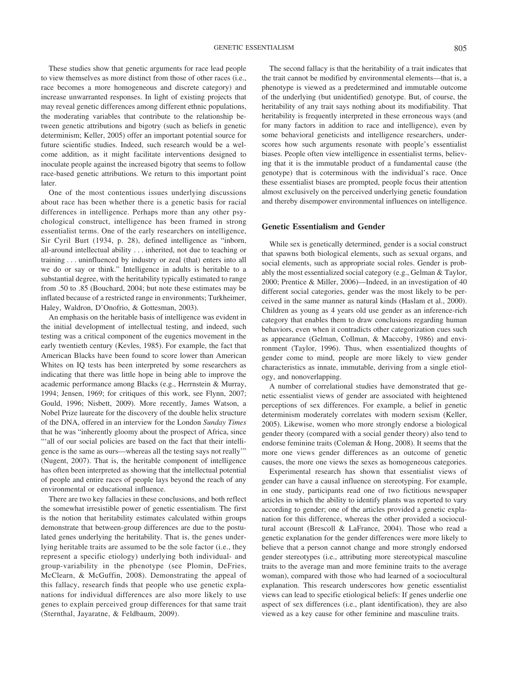These studies show that genetic arguments for race lead people to view themselves as more distinct from those of other races (i.e., race becomes a more homogeneous and discrete category) and increase unwarranted responses. In light of existing projects that may reveal genetic differences among different ethnic populations, the moderating variables that contribute to the relationship between genetic attributions and bigotry (such as beliefs in genetic determinism; Keller, 2005) offer an important potential source for future scientific studies. Indeed, such research would be a welcome addition, as it might facilitate interventions designed to inoculate people against the increased bigotry that seems to follow race-based genetic attributions. We return to this important point later.

One of the most contentious issues underlying discussions about race has been whether there is a genetic basis for racial differences in intelligence. Perhaps more than any other psychological construct, intelligence has been framed in strong essentialist terms. One of the early researchers on intelligence, Sir Cyril Burt (1934, p. 28), defined intelligence as "inborn, all-around intellectual ability . . . inherited, not due to teaching or training... uninfluenced by industry or zeal (that) enters into all we do or say or think." Intelligence in adults is heritable to a substantial degree, with the heritability typically estimated to range from .50 to .85 (Bouchard, 2004; but note these estimates may be inflated because of a restricted range in environments; Turkheimer, Haley, Waldron, D'Onofrio, & Gottesman, 2003).

An emphasis on the heritable basis of intelligence was evident in the initial development of intellectual testing, and indeed, such testing was a critical component of the eugenics movement in the early twentieth century (Kevles, 1985). For example, the fact that American Blacks have been found to score lower than American Whites on IQ tests has been interpreted by some researchers as indicating that there was little hope in being able to improve the academic performance among Blacks (e.g., Herrnstein & Murray, 1994; Jensen, 1969; for critiques of this work, see Flynn, 2007; Gould, 1996; Nisbett, 2009). More recently, James Watson, a Nobel Prize laureate for the discovery of the double helix structure of the DNA, offered in an interview for the London *Sunday Times* that he was "inherently gloomy about the prospect of Africa, since ""all of our social policies are based on the fact that their intelligence is the same as ours—whereas all the testing says not really'" (Nugent, 2007). That is, the heritable component of intelligence has often been interpreted as showing that the intellectual potential of people and entire races of people lays beyond the reach of any environmental or educational influence.

There are two key fallacies in these conclusions, and both reflect the somewhat irresistible power of genetic essentialism. The first is the notion that heritability estimates calculated within groups demonstrate that between-group differences are due to the postulated genes underlying the heritability. That is, the genes underlying heritable traits are assumed to be the sole factor (i.e., they represent a specific etiology) underlying both individual- and group-variability in the phenotype (see Plomin, DeFries, McClearn, & McGuffin, 2008). Demonstrating the appeal of this fallacy, research finds that people who use genetic explanations for individual differences are also more likely to use genes to explain perceived group differences for that same trait (Sternthal, Jayaratne, & Feldbaum, 2009).

The second fallacy is that the heritability of a trait indicates that the trait cannot be modified by environmental elements—that is, a phenotype is viewed as a predetermined and immutable outcome of the underlying (but unidentified) genotype. But, of course, the heritability of any trait says nothing about its modifiability. That heritability is frequently interpreted in these erroneous ways (and for many factors in addition to race and intelligence), even by some behavioral geneticists and intelligence researchers, underscores how such arguments resonate with people's essentialist biases. People often view intelligence in essentialist terms, believing that it is the immutable product of a fundamental cause (the genotype) that is coterminous with the individual's race. Once these essentialist biases are prompted, people focus their attention almost exclusively on the perceived underlying genetic foundation and thereby disempower environmental influences on intelligence.

## **Genetic Essentialism and Gender**

While sex is genetically determined, gender is a social construct that spawns both biological elements, such as sexual organs, and social elements, such as appropriate social roles. Gender is probably the most essentialized social category (e.g., Gelman & Taylor, 2000; Prentice & Miller, 2006)—Indeed, in an investigation of 40 different social categories, gender was the most likely to be perceived in the same manner as natural kinds (Haslam et al., 2000). Children as young as 4 years old use gender as an inference-rich category that enables them to draw conclusions regarding human behaviors, even when it contradicts other categorization cues such as appearance (Gelman, Collman, & Maccoby, 1986) and environment (Taylor, 1996). Thus, when essentialized thoughts of gender come to mind, people are more likely to view gender characteristics as innate, immutable, deriving from a single etiology, and nonoverlapping.

A number of correlational studies have demonstrated that genetic essentialist views of gender are associated with heightened perceptions of sex differences. For example, a belief in genetic determinism moderately correlates with modern sexism (Keller, 2005). Likewise, women who more strongly endorse a biological gender theory (compared with a social gender theory) also tend to endorse feminine traits (Coleman & Hong, 2008). It seems that the more one views gender differences as an outcome of genetic causes, the more one views the sexes as homogeneous categories.

Experimental research has shown that essentialist views of gender can have a causal influence on stereotyping. For example, in one study, participants read one of two fictitious newspaper articles in which the ability to identify plants was reported to vary according to gender; one of the articles provided a genetic explanation for this difference, whereas the other provided a sociocultural account (Brescoll & LaFrance, 2004). Those who read a genetic explanation for the gender differences were more likely to believe that a person cannot change and more strongly endorsed gender stereotypes (i.e., attributing more stereotypical masculine traits to the average man and more feminine traits to the average woman), compared with those who had learned of a sociocultural explanation. This research underscores how genetic essentialist views can lead to specific etiological beliefs: If genes underlie one aspect of sex differences (i.e., plant identification), they are also viewed as a key cause for other feminine and masculine traits.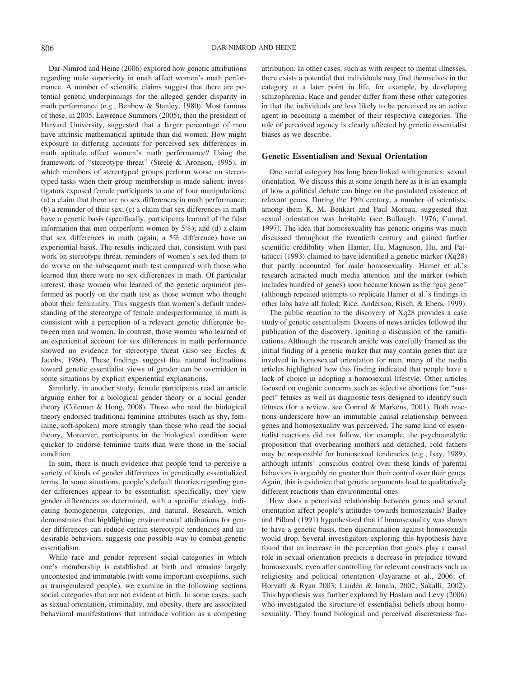Dar-Nimrod and Heine (2006) explored how genetic attributions regarding male superiority in math affect women's math performance. A number of scientific claims suggest that there are potential genetic underpinnings for the alleged gender disparity in math performance (e.g., Benbow & Stanley, 1980). Most famous of these, in 2005, Lawrence Summers (2005), then the president of Harvard University, suggested that a larger percentage of men have intrinsic mathematical aptitude than did women. How might exposure to differing accounts for perceived sex differences in math aptitude affect women's math performance? Using the framework of "stereotype threat" (Steele & Aronson, 1995), in which members of stereotyped groups perform worse on stereotyped tasks when their group membership is made salient, investigators exposed female participants to one of four manipulations: (a) a claim that there are no sex differences in math performance; (b) a reminder of their sex; (c) a claim that sex differences in math have a genetic basis (specifically, participants learned of the false information that men outperform women by 5%); and (d) a claim that sex differences in math (again, a 5% difference) have an experiential basis. The results indicated that, consistent with past work on stereotype threat, reminders of women's sex led them to do worse on the subsequent math test compared with those who learned that there were no sex differences in math. Of particular interest, those women who learned of the genetic argument performed as poorly on the math test as those women who thought about their femininity. This suggests that women's default understanding of the stereotype of female underperformance in math is consistent with a perception of a relevant genetic difference between men and women. In contrast, those women who learned of an experiential account for sex differences in math performance showed no evidence for stereotype threat (also see Eccles & Jacobs, 1986). These findings suggest that natural inclinations toward genetic essentialist views of gender can be overridden in some situations by explicit experiential explanations.

Similarly, in another study, female participants read an article arguing either for a biological gender theory or a social gender theory (Coleman & Hong, 2008). Those who read the biological theory endorsed traditional feminine attributes (such as shy, feminine, soft-spoken) more strongly than those who read the social theory. Moreover, participants in the biological condition were quicker to endorse feminine traits than were those in the social condition.

In sum, there is much evidence that people tend to perceive a variety of kinds of gender differences in genetically essentialized terms. In some situations, people's default theories regarding gender differences appear to be essentialist; specifically, they view gender differences as determined, with a specific etiology, indicating homogeneous categories, and natural. Research, which demonstrates that highlighting environmental attributions for gender differences can reduce certain stereotypic tendencies and undesirable behaviors, suggests one possible way to combat genetic essentialism.

While race and gender represent social categories in which one's membership is established at birth and remains largely uncontested and immutable (with some important exceptions, such as transgendered people), we examine in the following sections social categories that are not evident at birth. In some cases, such as sexual orientation, criminality, and obesity, there are associated behavioral manifestations that introduce volition as a competing

attribution. In other cases, such as with respect to mental illnesses, there exists a potential that individuals may find themselves in the category at a later point in life, for example, by developing schizophrenia. Race and gender differ from these other categories in that the individuals are less likely to be perceived as an active agent in becoming a member of their respective categories. The role of perceived agency is clearly affected by genetic essentialist biases as we describe.

## **Genetic Essentialism and Sexual Orientation**

One social category has long been linked with genetics: sexual orientation. We discuss this at some length here as it is an example of how a political debate can hinge on the postulated existence of relevant genes. During the 19th century, a number of scientists, among them K. M. Benkart and Paul Moreau, suggested that sexual orientation was heritable (see Bullough, 1976; Conrad, 1997). The idea that homosexuality has genetic origins was much discussed throughout the twentieth century and gained further scientific credibility when Hamer, Hu, Magnuson, Hu, and Pattatucci (1993) claimed to have identified a genetic marker (Xq28) that partly accounted for male homosexuality. Hamer et al.'s research attracted much media attention and the marker (which includes hundred of genes) soon became known as the "gay gene" (although repeated attempts to replicate Hamer et al.'s findings in other labs have all failed; Rice, Anderson, Risch, & Ebers, 1999).

The public reaction to the discovery of Xq28 provides a case study of genetic essentialism. Dozens of news articles followed the publication of the discovery, igniting a discussion of the ramifications. Although the research article was carefully framed as the initial finding of a genetic marker that may contain genes that are involved in homosexual orientation for men, many of the media articles highlighted how this finding indicated that people have a lack of choice in adopting a homosexual lifestyle. Other articles focused on eugenic concerns such as selective abortions for "suspect" fetuses as well as diagnostic tests designed to identify such fetuses (for a review, see Conrad & Markens, 2001). Both reactions underscore how an immutable causal relationship between genes and homosexuality was perceived. The same kind of essentialist reactions did not follow, for example, the psychoanalytic proposition that overbearing mothers and detached, cold fathers may be responsible for homosexual tendencies (e.g., Isay, 1989), although infants' conscious control over these kinds of parental behaviors is arguably no greater than their control over their genes. Again, this is evidence that genetic arguments lead to qualitatively different reactions than environmental ones.

How does a perceived relationship between genes and sexual orientation affect people's attitudes towards homosexuals? Bailey and Pillard (1991) hypothesized that if homosexuality was shown to have a genetic basis, then discrimination against homosexuals would drop. Several investigators exploring this hypothesis have found that an increase in the perception that genes play a causal role in sexual orientation predicts a decrease in prejudice toward homosexuals, even after controlling for relevant constructs such as religiosity and political orientation (Jayaratne et al., 2006; cf. Horvath & Ryan 2003; Landén & Innala, 2002; Sakalli, 2002). This hypothesis was further explored by Haslam and Levy (2006) who investigated the structure of essentialist beliefs about homosexuality. They found biological and perceived discreteness fac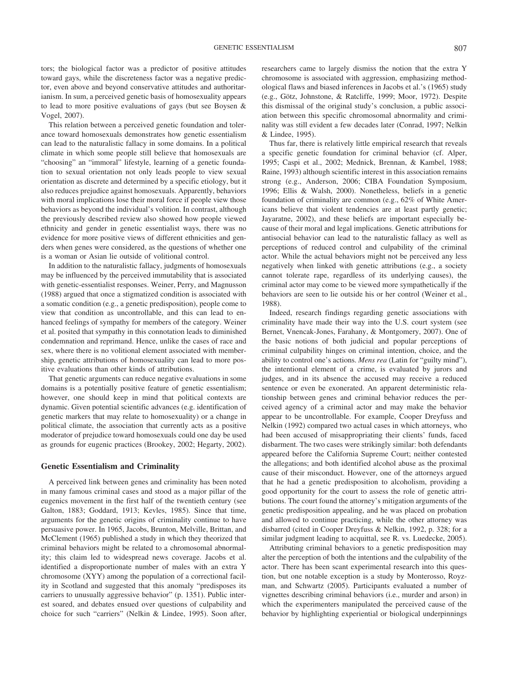tors; the biological factor was a predictor of positive attitudes toward gays, while the discreteness factor was a negative predictor, even above and beyond conservative attitudes and authoritarianism. In sum, a perceived genetic basis of homosexuality appears to lead to more positive evaluations of gays (but see Boysen & Vogel, 2007).

This relation between a perceived genetic foundation and tolerance toward homosexuals demonstrates how genetic essentialism can lead to the naturalistic fallacy in some domains. In a political climate in which some people still believe that homosexuals are "choosing" an "immoral" lifestyle, learning of a genetic foundation to sexual orientation not only leads people to view sexual orientation as discrete and determined by a specific etiology, but it also reduces prejudice against homosexuals. Apparently, behaviors with moral implications lose their moral force if people view those behaviors as beyond the individual's volition. In contrast, although the previously described review also showed how people viewed ethnicity and gender in genetic essentialist ways, there was no evidence for more positive views of different ethnicities and genders when genes were considered, as the questions of whether one is a woman or Asian lie outside of volitional control.

In addition to the naturalistic fallacy, judgments of homosexuals may be influenced by the perceived immutability that is associated with genetic-essentialist responses. Weiner, Perry, and Magnusson (1988) argued that once a stigmatized condition is associated with a somatic condition (e.g., a genetic predisposition), people come to view that condition as uncontrollable, and this can lead to enhanced feelings of sympathy for members of the category. Weiner et al. posited that sympathy in this connotation leads to diminished condemnation and reprimand. Hence, unlike the cases of race and sex, where there is no volitional element associated with membership, genetic attributions of homosexuality can lead to more positive evaluations than other kinds of attributions.

That genetic arguments can reduce negative evaluations in some domains is a potentially positive feature of genetic essentialism; however, one should keep in mind that political contexts are dynamic. Given potential scientific advances (e.g. identification of genetic markers that may relate to homosexuality) or a change in political climate, the association that currently acts as a positive moderator of prejudice toward homosexuals could one day be used as grounds for eugenic practices (Brookey, 2002; Hegarty, 2002).

## **Genetic Essentialism and Criminality**

A perceived link between genes and criminality has been noted in many famous criminal cases and stood as a major pillar of the eugenics movement in the first half of the twentieth century (see Galton, 1883; Goddard, 1913; Kevles, 1985). Since that time, arguments for the genetic origins of criminality continue to have persuasive power. In 1965, Jacobs, Brunton, Melville, Brittan, and McClement (1965) published a study in which they theorized that criminal behaviors might be related to a chromosomal abnormality; this claim led to widespread news coverage. Jacobs et al. identified a disproportionate number of males with an extra Y chromosome (XYY) among the population of a correctional facility in Scotland and suggested that this anomaly "predisposes its carriers to unusually aggressive behavior" (p. 1351). Public interest soared, and debates ensued over questions of culpability and choice for such "carriers" (Nelkin & Lindee, 1995). Soon after,

researchers came to largely dismiss the notion that the extra Y chromosome is associated with aggression, emphasizing methodological flaws and biased inferences in Jacobs et al.'s (1965) study (e.g., Götz, Johnstone, & Ratcliffe, 1999; Moor, 1972). Despite this dismissal of the original study's conclusion, a public association between this specific chromosomal abnormality and criminality was still evident a few decades later (Conrad, 1997; Nelkin & Lindee, 1995).

Thus far, there is relatively little empirical research that reveals a specific genetic foundation for criminal behavior (cf. Alper, 1995; Caspi et al., 2002; Mednick, Brennan, & Kambel, 1988; Raine, 1993) although scientific interest in this association remains strong (e.g., Anderson, 2006; CIBA Foundation Symposium, 1996; Ellis & Walsh, 2000). Nonetheless, beliefs in a genetic foundation of criminality are common (e.g., 62% of White Americans believe that violent tendencies are at least partly genetic; Jayaratne, 2002), and these beliefs are important especially because of their moral and legal implications. Genetic attributions for antisocial behavior can lead to the naturalistic fallacy as well as perceptions of reduced control and culpability of the criminal actor. While the actual behaviors might not be perceived any less negatively when linked with genetic attributions (e.g., a society cannot tolerate rape, regardless of its underlying causes), the criminal actor may come to be viewed more sympathetically if the behaviors are seen to lie outside his or her control (Weiner et al., 1988).

Indeed, research findings regarding genetic associations with criminality have made their way into the U.S. court system (see Bernet, Vnencak-Jones, Farahany, & Montgomery, 2007). One of the basic notions of both judicial and popular perceptions of criminal culpability hinges on criminal intention, choice, and the ability to control one's actions. *Mens rea* (Latin for "guilty mind"), the intentional element of a crime, is evaluated by jurors and judges, and in its absence the accused may receive a reduced sentence or even be exonerated. An apparent deterministic relationship between genes and criminal behavior reduces the perceived agency of a criminal actor and may make the behavior appear to be uncontrollable. For example, Cooper Dreyfuss and Nelkin (1992) compared two actual cases in which attorneys, who had been accused of misappropriating their clients' funds, faced disbarment. The two cases were strikingly similar: both defendants appeared before the California Supreme Court; neither contested the allegations; and both identified alcohol abuse as the proximal cause of their misconduct. However, one of the attorneys argued that he had a genetic predisposition to alcoholism, providing a good opportunity for the court to assess the role of genetic attributions. The court found the attorney's mitigation arguments of the genetic predisposition appealing, and he was placed on probation and allowed to continue practicing, while the other attorney was disbarred (cited in Cooper Dreyfuss & Nelkin, 1992, p. 328; for a similar judgment leading to acquittal, see R. vs. Luedecke, 2005).

Attributing criminal behaviors to a genetic predisposition may alter the perception of both the intentions and the culpability of the actor. There has been scant experimental research into this question, but one notable exception is a study by Monterosso, Royzman, and Schwartz (2005). Participants evaluated a number of vignettes describing criminal behaviors (i.e., murder and arson) in which the experimenters manipulated the perceived cause of the behavior by highlighting experiential or biological underpinnings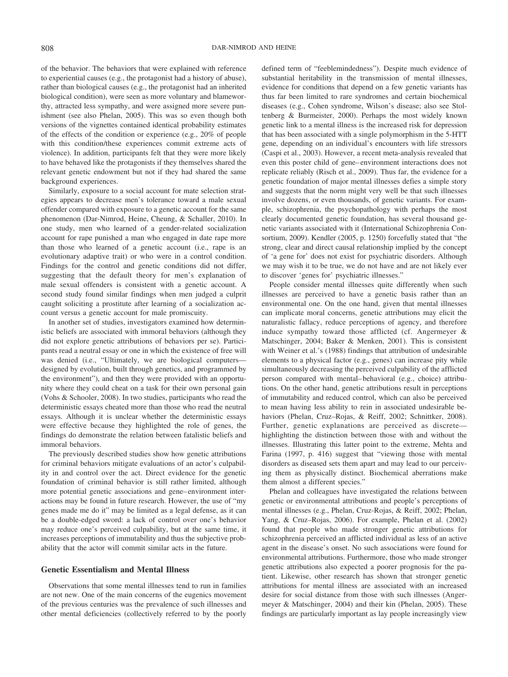of the behavior. The behaviors that were explained with reference to experiential causes (e.g., the protagonist had a history of abuse), rather than biological causes (e.g., the protagonist had an inherited biological condition), were seen as more voluntary and blameworthy, attracted less sympathy, and were assigned more severe punishment (see also Phelan, 2005). This was so even though both versions of the vignettes contained identical probability estimates of the effects of the condition or experience (e.g., 20% of people with this condition/these experiences commit extreme acts of violence). In addition, participants felt that they were more likely to have behaved like the protagonists if they themselves shared the relevant genetic endowment but not if they had shared the same background experiences.

Similarly, exposure to a social account for mate selection strategies appears to decrease men's tolerance toward a male sexual offender compared with exposure to a genetic account for the same phenomenon (Dar-Nimrod, Heine, Cheung, & Schaller, 2010). In one study, men who learned of a gender-related socialization account for rape punished a man who engaged in date rape more than those who learned of a genetic account (i.e., rape is an evolutionary adaptive trait) or who were in a control condition. Findings for the control and genetic conditions did not differ, suggesting that the default theory for men's explanation of male sexual offenders is consistent with a genetic account. A second study found similar findings when men judged a culprit caught soliciting a prostitute after learning of a socialization account versus a genetic account for male promiscuity.

In another set of studies, investigators examined how deterministic beliefs are associated with immoral behaviors (although they did not explore genetic attributions of behaviors per se). Participants read a neutral essay or one in which the existence of free will was denied (i.e., "Ultimately, we are biological computers designed by evolution, built through genetics, and programmed by the environment"), and then they were provided with an opportunity where they could cheat on a task for their own personal gain (Vohs & Schooler, 2008). In two studies, participants who read the deterministic essays cheated more than those who read the neutral essays. Although it is unclear whether the deterministic essays were effective because they highlighted the role of genes, the findings do demonstrate the relation between fatalistic beliefs and immoral behaviors.

The previously described studies show how genetic attributions for criminal behaviors mitigate evaluations of an actor's culpability in and control over the act. Direct evidence for the genetic foundation of criminal behavior is still rather limited, although more potential genetic associations and gene– environment interactions may be found in future research. However, the use of "my genes made me do it" may be limited as a legal defense, as it can be a double-edged sword: a lack of control over one's behavior may reduce one's perceived culpability, but at the same time, it increases perceptions of immutability and thus the subjective probability that the actor will commit similar acts in the future.

## **Genetic Essentialism and Mental Illness**

Observations that some mental illnesses tend to run in families are not new. One of the main concerns of the eugenics movement of the previous centuries was the prevalence of such illnesses and other mental deficiencies (collectively referred to by the poorly defined term of "feeblemindedness"). Despite much evidence of substantial heritability in the transmission of mental illnesses, evidence for conditions that depend on a few genetic variants has thus far been limited to rare syndromes and certain biochemical diseases (e.g., Cohen syndrome, Wilson's disease; also see Stoltenberg & Burmeister, 2000). Perhaps the most widely known genetic link to a mental illness is the increased risk for depression that has been associated with a single polymorphism in the 5-HTT gene, depending on an individual's encounters with life stressors (Caspi et al., 2003). However, a recent meta-analysis revealed that even this poster child of gene– environment interactions does not replicate reliably (Risch et al., 2009). Thus far, the evidence for a genetic foundation of major mental illnesses defies a simple story and suggests that the norm might very well be that such illnesses involve dozens, or even thousands, of genetic variants. For example, schizophrenia, the psychopathology with perhaps the most clearly documented genetic foundation, has several thousand genetic variants associated with it (International Schizophrenia Consortium, 2009). Kendler (2005, p. 1250) forcefully stated that "the strong, clear and direct causal relationship implied by the concept of 'a gene for' does not exist for psychiatric disorders. Although we may wish it to be true, we do not have and are not likely ever to discover 'genes for' psychiatric illnesses."

People consider mental illnesses quite differently when such illnesses are perceived to have a genetic basis rather than an environmental one. On the one hand, given that mental illnesses can implicate moral concerns, genetic attributions may elicit the naturalistic fallacy, reduce perceptions of agency, and therefore induce sympathy toward those afflicted (cf. Angermeyer & Matschinger, 2004; Baker & Menken, 2001). This is consistent with Weiner et al.'s (1988) findings that attribution of undesirable elements to a physical factor (e.g., genes) can increase pity while simultaneously decreasing the perceived culpability of the afflicted person compared with mental– behavioral (e.g., choice) attributions. On the other hand, genetic attributions result in perceptions of immutability and reduced control, which can also be perceived to mean having less ability to rein in associated undesirable behaviors (Phelan, Cruz–Rojas, & Reiff, 2002; Schnittker, 2008). Further, genetic explanations are perceived as discrete highlighting the distinction between those with and without the illnesses. Illustrating this latter point to the extreme, Mehta and Farina (1997, p. 416) suggest that "viewing those with mental disorders as diseased sets them apart and may lead to our perceiving them as physically distinct. Biochemical aberrations make them almost a different species."

Phelan and colleagues have investigated the relations between genetic or environmental attributions and people's perceptions of mental illnesses (e.g., Phelan, Cruz-Rojas, & Reiff, 2002; Phelan, Yang, & Cruz–Rojas, 2006). For example, Phelan et al. (2002) found that people who made stronger genetic attributions for schizophrenia perceived an afflicted individual as less of an active agent in the disease's onset. No such associations were found for environmental attributions. Furthermore, those who made stronger genetic attributions also expected a poorer prognosis for the patient. Likewise, other research has shown that stronger genetic attributions for mental illness are associated with an increased desire for social distance from those with such illnesses (Angermeyer & Matschinger, 2004) and their kin (Phelan, 2005). These findings are particularly important as lay people increasingly view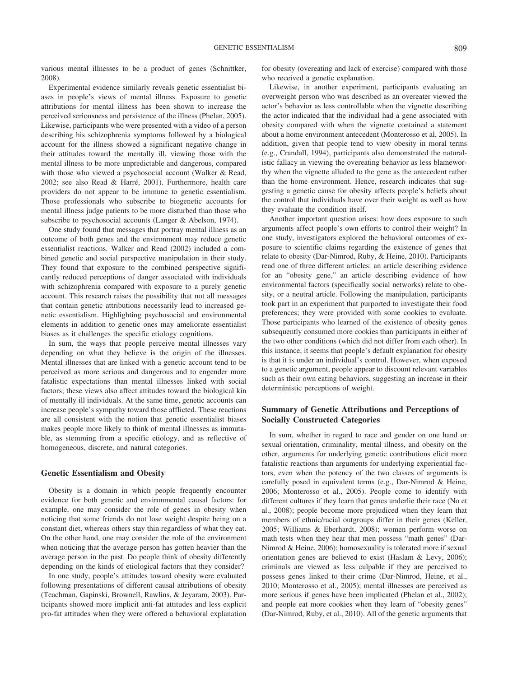various mental illnesses to be a product of genes (Schnittker, 2008).

Experimental evidence similarly reveals genetic essentialist biases in people's views of mental illness. Exposure to genetic attributions for mental illness has been shown to increase the perceived seriousness and persistence of the illness (Phelan, 2005). Likewise, participants who were presented with a video of a person describing his schizophrenia symptoms followed by a biological account for the illness showed a significant negative change in their attitudes toward the mentally ill, viewing those with the mental illness to be more unpredictable and dangerous, compared with those who viewed a psychosocial account (Walker & Read, 2002; see also Read & Harré, 2001). Furthermore, health care providers do not appear to be immune to genetic essentialism. Those professionals who subscribe to biogenetic accounts for mental illness judge patients to be more disturbed than those who subscribe to psychosocial accounts (Langer & Abelson, 1974).

One study found that messages that portray mental illness as an outcome of both genes and the environment may reduce genetic essentialist reactions. Walker and Read (2002) included a combined genetic and social perspective manipulation in their study. They found that exposure to the combined perspective significantly reduced perceptions of danger associated with individuals with schizophrenia compared with exposure to a purely genetic account. This research raises the possibility that not all messages that contain genetic attributions necessarily lead to increased genetic essentialism. Highlighting psychosocial and environmental elements in addition to genetic ones may ameliorate essentialist biases as it challenges the specific etiology cognitions.

In sum, the ways that people perceive mental illnesses vary depending on what they believe is the origin of the illnesses. Mental illnesses that are linked with a genetic account tend to be perceived as more serious and dangerous and to engender more fatalistic expectations than mental illnesses linked with social factors; these views also affect attitudes toward the biological kin of mentally ill individuals. At the same time, genetic accounts can increase people's sympathy toward those afflicted. These reactions are all consistent with the notion that genetic essentialist biases makes people more likely to think of mental illnesses as immutable, as stemming from a specific etiology, and as reflective of homogeneous, discrete, and natural categories.

#### **Genetic Essentialism and Obesity**

Obesity is a domain in which people frequently encounter evidence for both genetic and environmental causal factors: for example, one may consider the role of genes in obesity when noticing that some friends do not lose weight despite being on a constant diet, whereas others stay thin regardless of what they eat. On the other hand, one may consider the role of the environment when noticing that the average person has gotten heavier than the average person in the past. Do people think of obesity differently depending on the kinds of etiological factors that they consider?

In one study, people's attitudes toward obesity were evaluated following presentations of different causal attributions of obesity (Teachman, Gapinski, Brownell, Rawlins, & Jeyaram, 2003). Participants showed more implicit anti-fat attitudes and less explicit pro-fat attitudes when they were offered a behavioral explanation for obesity (overeating and lack of exercise) compared with those who received a genetic explanation.

Likewise, in another experiment, participants evaluating an overweight person who was described as an overeater viewed the actor's behavior as less controllable when the vignette describing the actor indicated that the individual had a gene associated with obesity compared with when the vignette contained a statement about a home environment antecedent (Monterosso et al, 2005). In addition, given that people tend to view obesity in moral terms (e.g., Crandall, 1994), participants also demonstrated the naturalistic fallacy in viewing the overeating behavior as less blameworthy when the vignette alluded to the gene as the antecedent rather than the home environment. Hence, research indicates that suggesting a genetic cause for obesity affects people's beliefs about the control that individuals have over their weight as well as how they evaluate the condition itself.

Another important question arises: how does exposure to such arguments affect people's own efforts to control their weight? In one study, investigators explored the behavioral outcomes of exposure to scientific claims regarding the existence of genes that relate to obesity (Dar-Nimrod, Ruby, & Heine, 2010). Participants read one of three different articles: an article describing evidence for an "obesity gene," an article describing evidence of how environmental factors (specifically social networks) relate to obesity, or a neutral article. Following the manipulation, participants took part in an experiment that purported to investigate their food preferences; they were provided with some cookies to evaluate. Those participants who learned of the existence of obesity genes subsequently consumed more cookies than participants in either of the two other conditions (which did not differ from each other). In this instance, it seems that people's default explanation for obesity is that it is under an individual's control. However, when exposed to a genetic argument, people appear to discount relevant variables such as their own eating behaviors, suggesting an increase in their deterministic perceptions of weight.

# **Summary of Genetic Attributions and Perceptions of Socially Constructed Categories**

In sum, whether in regard to race and gender on one hand or sexual orientation, criminality, mental illness, and obesity on the other, arguments for underlying genetic contributions elicit more fatalistic reactions than arguments for underlying experiential factors, even when the potency of the two classes of arguments is carefully posed in equivalent terms (e.g., Dar-Nimrod & Heine, 2006; Monterosso et al., 2005). People come to identify with different cultures if they learn that genes underlie their race (No et al., 2008); people become more prejudiced when they learn that members of ethnic/racial outgroups differ in their genes (Keller, 2005; Williams & Eberhardt, 2008); women perform worse on math tests when they hear that men possess "math genes" (Dar-Nimrod & Heine, 2006); homosexuality is tolerated more if sexual orientation genes are believed to exist (Haslam & Levy, 2006); criminals are viewed as less culpable if they are perceived to possess genes linked to their crime (Dar-Nimrod, Heine, et al., 2010; Monterosso et al., 2005); mental illnesses are perceived as more serious if genes have been implicated (Phelan et al., 2002); and people eat more cookies when they learn of "obesity genes" (Dar-Nimrod, Ruby, et al., 2010). All of the genetic arguments that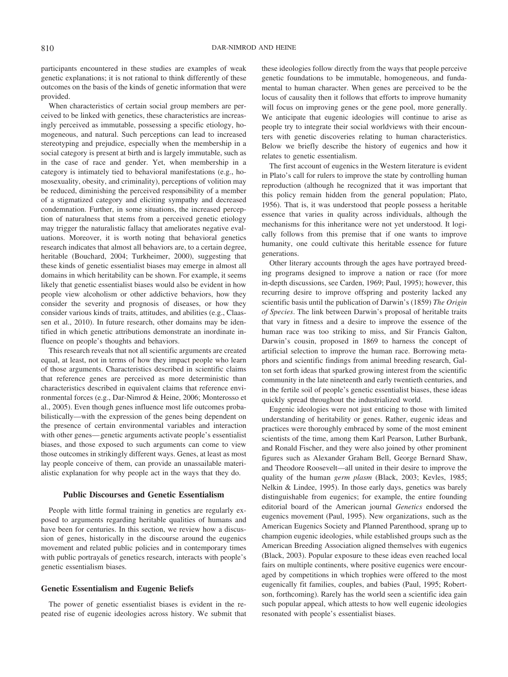participants encountered in these studies are examples of weak genetic explanations; it is not rational to think differently of these outcomes on the basis of the kinds of genetic information that were provided.

When characteristics of certain social group members are perceived to be linked with genetics, these characteristics are increasingly perceived as immutable, possessing a specific etiology, homogeneous, and natural. Such perceptions can lead to increased stereotyping and prejudice, especially when the membership in a social category is present at birth and is largely immutable, such as in the case of race and gender. Yet, when membership in a category is intimately tied to behavioral manifestations (e.g., homosexuality, obesity, and criminality), perceptions of volition may be reduced, diminishing the perceived responsibility of a member of a stigmatized category and eliciting sympathy and decreased condemnation. Further, in some situations, the increased perception of naturalness that stems from a perceived genetic etiology may trigger the naturalistic fallacy that ameliorates negative evaluations. Moreover, it is worth noting that behavioral genetics research indicates that almost all behaviors are, to a certain degree, heritable (Bouchard, 2004; Turkheimer, 2000), suggesting that these kinds of genetic essentialist biases may emerge in almost all domains in which heritability can be shown. For example, it seems likely that genetic essentialist biases would also be evident in how people view alcoholism or other addictive behaviors, how they consider the severity and prognosis of diseases, or how they consider various kinds of traits, attitudes, and abilities (e.g., Claassen et al., 2010). In future research, other domains may be identified in which genetic attributions demonstrate an inordinate influence on people's thoughts and behaviors.

This research reveals that not all scientific arguments are created equal, at least, not in terms of how they impact people who learn of those arguments. Characteristics described in scientific claims that reference genes are perceived as more deterministic than characteristics described in equivalent claims that reference environmental forces (e.g., Dar-Nimrod & Heine, 2006; Monterosso et al., 2005). Even though genes influence most life outcomes probabilistically—with the expression of the genes being dependent on the presence of certain environmental variables and interaction with other genes— genetic arguments activate people's essentialist biases, and those exposed to such arguments can come to view those outcomes in strikingly different ways. Genes, at least as most lay people conceive of them, can provide an unassailable materialistic explanation for why people act in the ways that they do.

#### **Public Discourses and Genetic Essentialism**

People with little formal training in genetics are regularly exposed to arguments regarding heritable qualities of humans and have been for centuries. In this section, we review how a discussion of genes, historically in the discourse around the eugenics movement and related public policies and in contemporary times with public portrayals of genetics research, interacts with people's genetic essentialism biases.

## **Genetic Essentialism and Eugenic Beliefs**

The power of genetic essentialist biases is evident in the repeated rise of eugenic ideologies across history. We submit that these ideologies follow directly from the ways that people perceive genetic foundations to be immutable, homogeneous, and fundamental to human character. When genes are perceived to be the locus of causality then it follows that efforts to improve humanity will focus on improving genes or the gene pool, more generally. We anticipate that eugenic ideologies will continue to arise as people try to integrate their social worldviews with their encounters with genetic discoveries relating to human characteristics. Below we briefly describe the history of eugenics and how it relates to genetic essentialism.

The first account of eugenics in the Western literature is evident in Plato's call for rulers to improve the state by controlling human reproduction (although he recognized that it was important that this policy remain hidden from the general population; Plato, 1956). That is, it was understood that people possess a heritable essence that varies in quality across individuals, although the mechanisms for this inheritance were not yet understood. It logically follows from this premise that if one wants to improve humanity, one could cultivate this heritable essence for future generations.

Other literary accounts through the ages have portrayed breeding programs designed to improve a nation or race (for more in-depth discussions, see Carden, 1969; Paul, 1995); however, this recurring desire to improve offspring and posterity lacked any scientific basis until the publication of Darwin's (1859) *The Origin of Species*. The link between Darwin's proposal of heritable traits that vary in fitness and a desire to improve the essence of the human race was too striking to miss, and Sir Francis Galton, Darwin's cousin, proposed in 1869 to harness the concept of artificial selection to improve the human race. Borrowing metaphors and scientific findings from animal breeding research, Galton set forth ideas that sparked growing interest from the scientific community in the late nineteenth and early twentieth centuries, and in the fertile soil of people's genetic essentialist biases, these ideas quickly spread throughout the industrialized world.

Eugenic ideologies were not just enticing to those with limited understanding of heritability or genes. Rather, eugenic ideas and practices were thoroughly embraced by some of the most eminent scientists of the time, among them Karl Pearson, Luther Burbank, and Ronald Fischer, and they were also joined by other prominent figures such as Alexander Graham Bell, George Bernard Shaw, and Theodore Roosevelt—all united in their desire to improve the quality of the human *germ plasm* (Black, 2003; Kevles, 1985; Nelkin & Lindee, 1995). In those early days, genetics was barely distinguishable from eugenics; for example, the entire founding editorial board of the American journal *Genetics* endorsed the eugenics movement (Paul, 1995). New organizations, such as the American Eugenics Society and Planned Parenthood, sprang up to champion eugenic ideologies, while established groups such as the American Breeding Association aligned themselves with eugenics (Black, 2003). Popular exposure to these ideas even reached local fairs on multiple continents, where positive eugenics were encouraged by competitions in which trophies were offered to the most eugenically fit families, couples, and babies (Paul, 1995; Robertson, forthcoming). Rarely has the world seen a scientific idea gain such popular appeal, which attests to how well eugenic ideologies resonated with people's essentialist biases.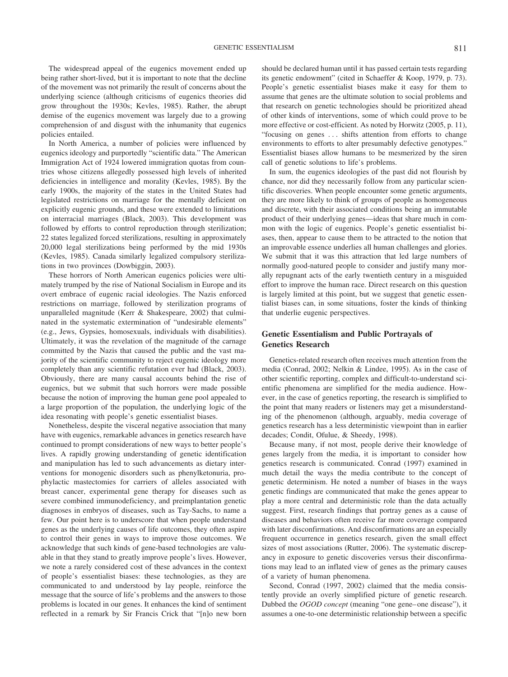The widespread appeal of the eugenics movement ended up being rather short-lived, but it is important to note that the decline of the movement was not primarily the result of concerns about the underlying science (although criticisms of eugenics theories did grow throughout the 1930s; Kevles, 1985). Rather, the abrupt demise of the eugenics movement was largely due to a growing comprehension of and disgust with the inhumanity that eugenics policies entailed.

In North America, a number of policies were influenced by eugenics ideology and purportedly "scientific data." The American Immigration Act of 1924 lowered immigration quotas from countries whose citizens allegedly possessed high levels of inherited deficiencies in intelligence and morality (Kevles, 1985). By the early 1900s, the majority of the states in the United States had legislated restrictions on marriage for the mentally deficient on explicitly eugenic grounds, and these were extended to limitations on interracial marriages (Black, 2003). This development was followed by efforts to control reproduction through sterilization; 22 states legalized forced sterilizations, resulting in approximately 20,000 legal sterilizations being performed by the mid 1930s (Kevles, 1985). Canada similarly legalized compulsory sterilizations in two provinces (Dowbiggin, 2003).

These horrors of North American eugenics policies were ultimately trumped by the rise of National Socialism in Europe and its overt embrace of eugenic racial ideologies. The Nazis enforced restrictions on marriage, followed by sterilization programs of unparalleled magnitude (Kerr & Shakespeare, 2002) that culminated in the systematic extermination of "undesirable elements" (e.g., Jews, Gypsies, homosexuals, individuals with disabilities). Ultimately, it was the revelation of the magnitude of the carnage committed by the Nazis that caused the public and the vast majority of the scientific community to reject eugenic ideology more completely than any scientific refutation ever had (Black, 2003). Obviously, there are many causal accounts behind the rise of eugenics, but we submit that such horrors were made possible because the notion of improving the human gene pool appealed to a large proportion of the population, the underlying logic of the idea resonating with people's genetic essentialist biases.

Nonetheless, despite the visceral negative association that many have with eugenics, remarkable advances in genetics research have continued to prompt considerations of new ways to better people's lives. A rapidly growing understanding of genetic identification and manipulation has led to such advancements as dietary interventions for monogenic disorders such as phenylketonuria, prophylactic mastectomies for carriers of alleles associated with breast cancer, experimental gene therapy for diseases such as severe combined immunodeficiency, and preimplantation genetic diagnoses in embryos of diseases, such as Tay-Sachs, to name a few. Our point here is to underscore that when people understand genes as the underlying causes of life outcomes, they often aspire to control their genes in ways to improve those outcomes. We acknowledge that such kinds of gene-based technologies are valuable in that they stand to greatly improve people's lives. However, we note a rarely considered cost of these advances in the context of people's essentialist biases: these technologies, as they are communicated to and understood by lay people, reinforce the message that the source of life's problems and the answers to those problems is located in our genes. It enhances the kind of sentiment reflected in a remark by Sir Francis Crick that "[n]o new born should be declared human until it has passed certain tests regarding its genetic endowment" (cited in Schaeffer & Koop, 1979, p. 73). People's genetic essentialist biases make it easy for them to assume that genes are the ultimate solution to social problems and that research on genetic technologies should be prioritized ahead of other kinds of interventions, some of which could prove to be more effective or cost-efficient. As noted by Horwitz (2005, p. 11), "focusing on genes . . . shifts attention from efforts to change environments to efforts to alter presumably defective genotypes." Essentialist biases allow humans to be mesmerized by the siren call of genetic solutions to life's problems.

In sum, the eugenics ideologies of the past did not flourish by chance, nor did they necessarily follow from any particular scientific discoveries. When people encounter some genetic arguments, they are more likely to think of groups of people as homogeneous and discrete, with their associated conditions being an immutable product of their underlying genes—ideas that share much in common with the logic of eugenics. People's genetic essentialist biases, then, appear to cause them to be attracted to the notion that an improvable essence underlies all human challenges and glories. We submit that it was this attraction that led large numbers of normally good-natured people to consider and justify many morally repugnant acts of the early twentieth century in a misguided effort to improve the human race. Direct research on this question is largely limited at this point, but we suggest that genetic essentialist biases can, in some situations, foster the kinds of thinking that underlie eugenic perspectives.

# **Genetic Essentialism and Public Portrayals of Genetics Research**

Genetics-related research often receives much attention from the media (Conrad, 2002; Nelkin & Lindee, 1995). As in the case of other scientific reporting, complex and difficult-to-understand scientific phenomena are simplified for the media audience. However, in the case of genetics reporting, the research is simplified to the point that many readers or listeners may get a misunderstanding of the phenomenon (although, arguably, media coverage of genetics research has a less deterministic viewpoint than in earlier decades; Condit, Ofulue, & Sheedy, 1998).

Because many, if not most, people derive their knowledge of genes largely from the media, it is important to consider how genetics research is communicated. Conrad (1997) examined in much detail the ways the media contribute to the concept of genetic determinism. He noted a number of biases in the ways genetic findings are communicated that make the genes appear to play a more central and deterministic role than the data actually suggest. First, research findings that portray genes as a cause of diseases and behaviors often receive far more coverage compared with later disconfirmations. And disconfirmations are an especially frequent occurrence in genetics research, given the small effect sizes of most associations (Rutter, 2006). The systematic discrepancy in exposure to genetic discoveries versus their disconfirmations may lead to an inflated view of genes as the primary causes of a variety of human phenomena.

Second, Conrad (1997, 2002) claimed that the media consistently provide an overly simplified picture of genetic research. Dubbed the *OGOD concept* (meaning "one gene– one disease"), it assumes a one-to-one deterministic relationship between a specific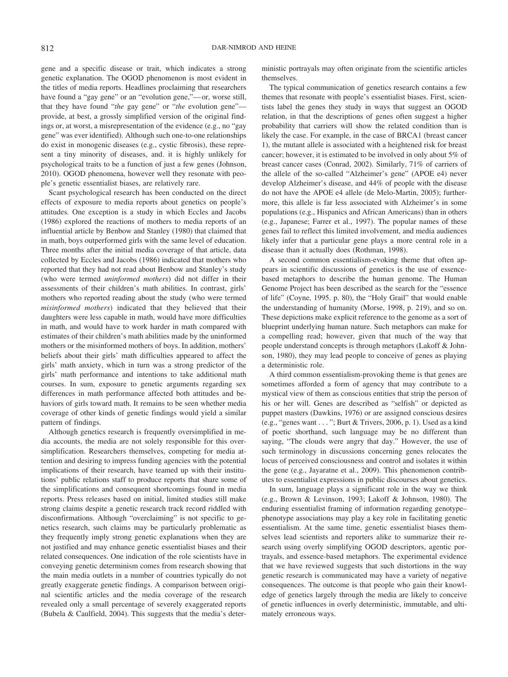gene and a specific disease or trait, which indicates a strong genetic explanation. The OGOD phenomenon is most evident in the titles of media reports. Headlines proclaiming that researchers have found a "gay gene" or an "evolution gene,"— or, worse still, that they have found "*the* gay gene" or "*the* evolution gene" provide, at best, a grossly simplified version of the original findings or, at worst, a misrepresentation of the evidence (e.g., no "gay gene" was ever identified). Although such one-to-one relationships do exist in monogenic diseases (e.g., cystic fibrosis), these represent a tiny minority of diseases, and. it is highly unlikely for psychological traits to be a function of just a few genes (Johnson, 2010). OGOD phenomena, however well they resonate with people's genetic essentialist biases, are relatively rare.

Scant psychological research has been conducted on the direct effects of exposure to media reports about genetics on people's attitudes. One exception is a study in which Eccles and Jacobs (1986) explored the reactions of mothers to media reports of an influential article by Benbow and Stanley (1980) that claimed that in math, boys outperformed girls with the same level of education. Three months after the initial media coverage of that article, data collected by Eccles and Jacobs (1986) indicated that mothers who reported that they had not read about Benbow and Stanley's study (who were termed *uninformed mothers*) did not differ in their assessments of their children's math abilities. In contrast, girls' mothers who reported reading about the study (who were termed *misinformed mothers*) indicated that they believed that their daughters were less capable in math, would have more difficulties in math, and would have to work harder in math compared with estimates of their children's math abilities made by the uninformed mothers or the misinformed mothers of boys. In addition, mothers' beliefs about their girls' math difficulties appeared to affect the girls' math anxiety, which in turn was a strong predictor of the girls' math performance and intentions to take additional math courses. In sum, exposure to genetic arguments regarding sex differences in math performance affected both attitudes and behaviors of girls toward math. It remains to be seen whether media coverage of other kinds of genetic findings would yield a similar pattern of findings.

Although genetics research is frequently oversimplified in media accounts, the media are not solely responsible for this oversimplification. Researchers themselves, competing for media attention and desiring to impress funding agencies with the potential implications of their research, have teamed up with their institutions' public relations staff to produce reports that share some of the simplifications and consequent shortcomings found in media reports. Press releases based on initial, limited studies still make strong claims despite a genetic research track record riddled with disconfirmations. Although "overclaiming" is not specific to genetics research, such claims may be particularly problematic as they frequently imply strong genetic explanations when they are not justified and may enhance genetic essentialist biases and their related consequences. One indication of the role scientists have in conveying genetic determinism comes from research showing that the main media outlets in a number of countries typically do not greatly exaggerate genetic findings. A comparison between original scientific articles and the media coverage of the research revealed only a small percentage of severely exaggerated reports (Bubela & Caulfield, 2004). This suggests that the media's deterministic portrayals may often originate from the scientific articles themselves.

The typical communication of genetics research contains a few themes that resonate with people's essentialist biases. First, scientists label the genes they study in ways that suggest an OGOD relation, in that the descriptions of genes often suggest a higher probability that carriers will show the related condition than is likely the case. For example, in the case of BRCA1 (breast cancer 1), the mutant allele is associated with a heightened risk for breast cancer; however, it is estimated to be involved in only about 5% of breast cancer cases (Conrad, 2002). Similarly, 71% of carriers of the allele of the so-called "Alzheimer's gene" (APOE e4) never develop Alzheimer's disease, and 44% of people with the disease do not have the APOE e4 allele (de Melo-Martin, 2005); furthermore, this allele is far less associated with Alzheimer's in some populations (e.g., Hispanics and African Americans) than in others (e.g., Japanese; Farrer et al., 1997). The popular names of these genes fail to reflect this limited involvement, and media audiences likely infer that a particular gene plays a more central role in a disease than it actually does (Rothman, 1998).

A second common essentialism-evoking theme that often appears in scientific discussions of genetics is the use of essencebased metaphors to describe the human genome. The Human Genome Project has been described as the search for the "essence of life" (Coyne, 1995. p. 80), the "Holy Grail" that would enable the understanding of humanity (Morse, 1998, p. 219), and so on. These depictions make explicit reference to the genome as a sort of blueprint underlying human nature. Such metaphors can make for a compelling read; however, given that much of the way that people understand concepts is through metaphors (Lakoff & Johnson, 1980), they may lead people to conceive of genes as playing a deterministic role.

A third common essentialism-provoking theme is that genes are sometimes afforded a form of agency that may contribute to a mystical view of them as conscious entities that strip the person of his or her will. Genes are described as "selfish" or depicted as puppet masters (Dawkins, 1976) or are assigned conscious desires (e.g., "genes want . . . "; Burt & Trivers, 2006, p. 1). Used as a kind of poetic shorthand, such language may be no different than saying, "The clouds were angry that day." However, the use of such terminology in discussions concerning genes relocates the locus of perceived consciousness and control and isolates it within the gene (e.g., Jayaratne et al., 2009). This phenomenon contributes to essentialist expressions in public discourses about genetics.

In sum, language plays a significant role in the way we think (e.g., Brown & Levinson, 1993; Lakoff & Johnson, 1980). The enduring essentialist framing of information regarding genotype– phenotype associations may play a key role in facilitating genetic essentialism. At the same time, genetic essentialist biases themselves lead scientists and reporters alike to summarize their research using overly simplifying OGOD descriptors, agentic portrayals, and essence-based metaphors. The experimental evidence that we have reviewed suggests that such distortions in the way genetic research is communicated may have a variety of negative consequences. The outcome is that people who gain their knowledge of genetics largely through the media are likely to conceive of genetic influences in overly deterministic, immutable, and ultimately erroneous ways.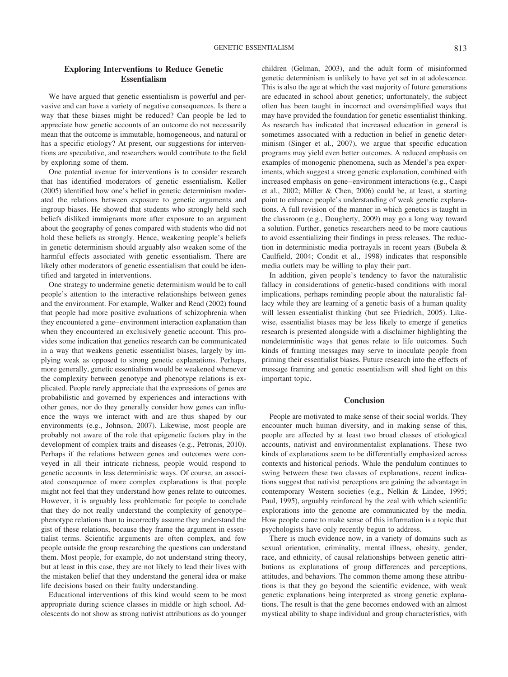# **Exploring Interventions to Reduce Genetic Essentialism**

We have argued that genetic essentialism is powerful and pervasive and can have a variety of negative consequences. Is there a way that these biases might be reduced? Can people be led to appreciate how genetic accounts of an outcome do not necessarily mean that the outcome is immutable, homogeneous, and natural or has a specific etiology? At present, our suggestions for interventions are speculative, and researchers would contribute to the field by exploring some of them.

One potential avenue for interventions is to consider research that has identified moderators of genetic essentialism. Keller (2005) identified how one's belief in genetic determinism moderated the relations between exposure to genetic arguments and ingroup biases. He showed that students who strongly held such beliefs disliked immigrants more after exposure to an argument about the geography of genes compared with students who did not hold these beliefs as strongly. Hence, weakening people's beliefs in genetic determinism should arguably also weaken some of the harmful effects associated with genetic essentialism. There are likely other moderators of genetic essentialism that could be identified and targeted in interventions.

One strategy to undermine genetic determinism would be to call people's attention to the interactive relationships between genes and the environment. For example, Walker and Read (2002) found that people had more positive evaluations of schizophrenia when they encountered a gene– environment interaction explanation than when they encountered an exclusively genetic account. This provides some indication that genetics research can be communicated in a way that weakens genetic essentialist biases, largely by implying weak as opposed to strong genetic explanations. Perhaps, more generally, genetic essentialism would be weakened whenever the complexity between genotype and phenotype relations is explicated. People rarely appreciate that the expressions of genes are probabilistic and governed by experiences and interactions with other genes, nor do they generally consider how genes can influence the ways we interact with and are thus shaped by our environments (e.g., Johnson, 2007). Likewise, most people are probably not aware of the role that epigenetic factors play in the development of complex traits and diseases (e.g., Petronis, 2010). Perhaps if the relations between genes and outcomes were conveyed in all their intricate richness, people would respond to genetic accounts in less deterministic ways. Of course, an associated consequence of more complex explanations is that people might not feel that they understand how genes relate to outcomes. However, it is arguably less problematic for people to conclude that they do not really understand the complexity of genotype– phenotype relations than to incorrectly assume they understand the gist of these relations, because they frame the argument in essentialist terms. Scientific arguments are often complex, and few people outside the group researching the questions can understand them. Most people, for example, do not understand string theory, but at least in this case, they are not likely to lead their lives with the mistaken belief that they understand the general idea or make life decisions based on their faulty understanding.

Educational interventions of this kind would seem to be most appropriate during science classes in middle or high school. Adolescents do not show as strong nativist attributions as do younger children (Gelman, 2003), and the adult form of misinformed genetic determinism is unlikely to have yet set in at adolescence. This is also the age at which the vast majority of future generations are educated in school about genetics; unfortunately, the subject often has been taught in incorrect and oversimplified ways that may have provided the foundation for genetic essentialist thinking. As research has indicated that increased education in general is sometimes associated with a reduction in belief in genetic determinism (Singer et al., 2007), we argue that specific education programs may yield even better outcomes. A reduced emphasis on examples of monogenic phenomena, such as Mendel's pea experiments, which suggest a strong genetic explanation, combined with increased emphasis on gene– environment interactions (e.g., Caspi et al., 2002; Miller & Chen, 2006) could be, at least, a starting point to enhance people's understanding of weak genetic explanations. A full revision of the manner in which genetics is taught in the classroom (e.g., Dougherty, 2009) may go a long way toward a solution. Further, genetics researchers need to be more cautious to avoid essentializing their findings in press releases. The reduction in deterministic media portrayals in recent years (Bubela & Caulfield, 2004; Condit et al., 1998) indicates that responsible media outlets may be willing to play their part.

In addition, given people's tendency to favor the naturalistic fallacy in considerations of genetic-based conditions with moral implications, perhaps reminding people about the naturalistic fallacy while they are learning of a genetic basis of a human quality will lessen essentialist thinking (but see Friedrich, 2005). Likewise, essentialist biases may be less likely to emerge if genetics research is presented alongside with a disclaimer highlighting the nondeterministic ways that genes relate to life outcomes. Such kinds of framing messages may serve to inoculate people from priming their essentialist biases. Future research into the effects of message framing and genetic essentialism will shed light on this important topic.

## **Conclusion**

People are motivated to make sense of their social worlds. They encounter much human diversity, and in making sense of this, people are affected by at least two broad classes of etiological accounts, nativist and environmentalist explanations. These two kinds of explanations seem to be differentially emphasized across contexts and historical periods. While the pendulum continues to swing between these two classes of explanations, recent indications suggest that nativist perceptions are gaining the advantage in contemporary Western societies (e.g., Nelkin & Lindee, 1995; Paul, 1995), arguably reinforced by the zeal with which scientific explorations into the genome are communicated by the media. How people come to make sense of this information is a topic that psychologists have only recently begun to address.

There is much evidence now, in a variety of domains such as sexual orientation, criminality, mental illness, obesity, gender, race, and ethnicity, of causal relationships between genetic attributions as explanations of group differences and perceptions, attitudes, and behaviors. The common theme among these attributions is that they go beyond the scientific evidence, with weak genetic explanations being interpreted as strong genetic explanations. The result is that the gene becomes endowed with an almost mystical ability to shape individual and group characteristics, with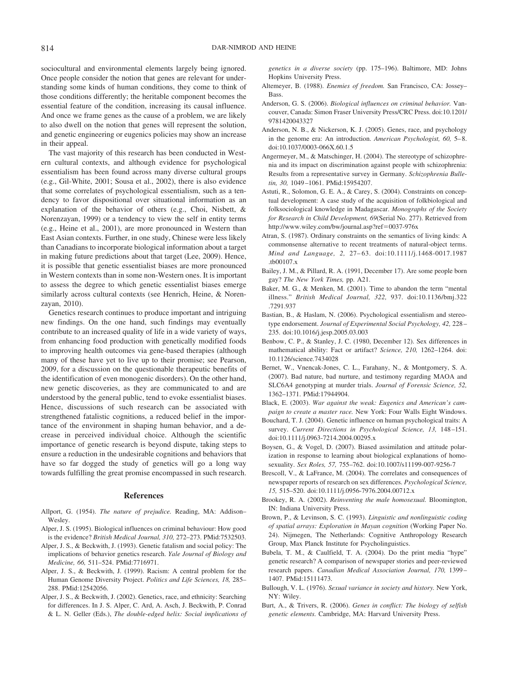sociocultural and environmental elements largely being ignored. Once people consider the notion that genes are relevant for understanding some kinds of human conditions, they come to think of those conditions differently; the heritable component becomes the essential feature of the condition, increasing its causal influence. And once we frame genes as the cause of a problem, we are likely to also dwell on the notion that genes will represent the solution, and genetic engineering or eugenics policies may show an increase in their appeal.

The vast majority of this research has been conducted in Western cultural contexts, and although evidence for psychological essentialism has been found across many diverse cultural groups (e.g., Gil-White, 2001; Sousa et al., 2002), there is also evidence that some correlates of psychological essentialism, such as a tendency to favor dispositional over situational information as an explanation of the behavior of others (e.g., Choi, Nisbett, & Norenzayan, 1999) or a tendency to view the self in entity terms (e.g., Heine et al., 2001), are more pronounced in Western than East Asian contexts. Further, in one study, Chinese were less likely than Canadians to incorporate biological information about a target in making future predictions about that target (Lee, 2009). Hence, it is possible that genetic essentialist biases are more pronounced in Western contexts than in some non-Western ones. It is important to assess the degree to which genetic essentialist biases emerge similarly across cultural contexts (see Henrich, Heine, & Norenzayan, 2010).

Genetics research continues to produce important and intriguing new findings. On the one hand, such findings may eventually contribute to an increased quality of life in a wide variety of ways, from enhancing food production with genetically modified foods to improving health outcomes via gene-based therapies (although many of these have yet to live up to their promise; see Pearson, 2009, for a discussion on the questionable therapeutic benefits of the identification of even monogenic disorders). On the other hand, new genetic discoveries, as they are communicated to and are understood by the general public, tend to evoke essentialist biases. Hence, discussions of such research can be associated with strengthened fatalistic cognitions, a reduced belief in the importance of the environment in shaping human behavior, and a decrease in perceived individual choice. Although the scientific importance of genetic research is beyond dispute, taking steps to ensure a reduction in the undesirable cognitions and behaviors that have so far dogged the study of genetics will go a long way towards fulfilling the great promise encompassed in such research.

#### **References**

- Allport, G. (1954). *The nature of prejudice.* Reading, MA: Addison– Wesley.
- Alper, J. S. (1995). Biological influences on criminal behaviour: How good is the evidence? *British Medical Journal, 310,* 272–273. PMid:7532503.
- Alper, J. S., & Beckwith, J. (1993). Genetic fatalism and social policy: The implications of behavior genetics research. *Yale Journal of Biology and Medicine, 66,* 511–524. PMid:7716971.
- Alper, J. S., & Beckwith, J. (1999). Racism: A central problem for the Human Genome Diversity Project. *Politics and Life Sciences, 18,* 285– 288. PMid:12542056.
- Alper, J. S., & Beckwith, J. (2002). Genetics, race, and ethnicity: Searching for differences. In J. S. Alper, C. Ard, A. Asch, J. Beckwith, P. Conrad & L. N. Geller (Eds.), *The double-edged helix: Social implications of*

*genetics in a diverse society* (pp. 175–196). Baltimore, MD: Johns Hopkins University Press.

- Altemeyer, B. (1988). *Enemies of freedom.* San Francisco, CA: Jossey– Bass.
- Anderson, G. S. (2006). *Biological influences on criminal behavior.* Vancouver, Canada: Simon Fraser University Press/CRC Press. doi:10.1201/ 9781420043327
- Anderson, N. B., & Nickerson, K. J. (2005). Genes, race, and psychology in the genome era: An introduction. *American Psychologist, 60, 5*–8. doi:10.1037/0003-066X.60.1.5
- Angermeyer, M., & Matschinger, H. (2004). The stereotype of schizophrenia and its impact on discrimination against people with schizophrenia: Results from a representative survey in Germany. *Schizophrenia Bulletin, 30,* 1049 –1061. PMid:15954207.
- Astuti, R., Solomon, G. E. A., & Carey, S. (2004). Constraints on conceptual development: A case study of the acquisition of folkbiological and folksociological knowledge in Madagascar. *Monographs of the Society for Research in Child Development, 69*(Serial No. 277). Retrieved from http://www.wiley.com/bw/journal.asp?ref=0037-976x
- Atran, S. (1987). Ordinary constraints on the semantics of living kinds: A commonsense alternative to recent treatments of natural-object terms. *Mind and Language, 2,* 27– 63. doi:10.1111/j.1468-0017.1987 .tb00107.x
- Bailey, J. M., & Pillard, R. A. (1991, December 17). Are some people born gay? *The New York Times,* pp. A21.
- Baker, M. G., & Menken, M. (2001). Time to abandon the term "mental illness." *British Medical Journal, 322,* 937. doi:10.1136/bmj.322 .7291.937
- Bastian, B., & Haslam, N. (2006). Psychological essentialism and stereotype endorsement. *Journal of Experimental Social Psychology, 42,* 228 – 235. doi:10.1016/j.jesp.2005.03.003
- Benbow, C. P., & Stanley, J. C. (1980, December 12). Sex differences in mathematical ability: Fact or artifact? *Science, 210,* 1262–1264. doi: 10.1126/science.7434028
- Bernet, W., Vnencak-Jones, C. L., Farahany, N., & Montgomery, S. A. (2007). Bad nature, bad nurture, and testimony regarding MAOA and SLC6A4 genotyping at murder trials. *Journal of Forensic Science, 52,* 1362–1371. PMid:17944904.
- Black, E. (2003). *War against the weak: Eugenics and American's campaign to create a master race.* New York: Four Walls Eight Windows.
- Bouchard, T. J. (2004). Genetic influence on human psychological traits: A survey. *Current Directions in Psychological Science*, 13, 148-151. doi:10.1111/j.0963-7214.2004.00295.x
- Boysen, G., & Vogel, D. (2007). Biased assimilation and attitude polarization in response to learning about biological explanations of homosexuality. *Sex Roles, 57,* 755–762. doi:10.1007/s11199-007-9256-7
- Brescoll, V., & LaFrance, M. (2004). The correlates and consequences of newspaper reports of research on sex differences. *Psychological Science, 15,* 515–520. doi:10.1111/j.0956-7976.2004.00712.x
- Brookey, R. A. (2002). *Reinventing the male homosexual.* Bloomington, IN: Indiana University Press.
- Brown, P., & Levinson, S. C. (1993). *Linguistic and nonlinguistic coding of spatial arrays: Exploration in Mayan cognition* (Working Paper No. 24). Nijmegen, The Netherlands: Cognitive Anthropology Research Group, Max Planck Institute for Psycholinguistics.
- Bubela, T. M., & Caulfield, T. A. (2004). Do the print media "hype" genetic research? A comparison of newspaper stories and peer-reviewed research papers. *Canadian Medical Association Journal, 170,* 1399 – 1407. PMid:15111473.
- Bullough, V. L. (1976). *Sexual variance in society and history.* New York, NY: Wiley.
- Burt, A., & Trivers, R. (2006). *Genes in conflict: The biology of selfish genetic elements.* Cambridge, MA: Harvard University Press.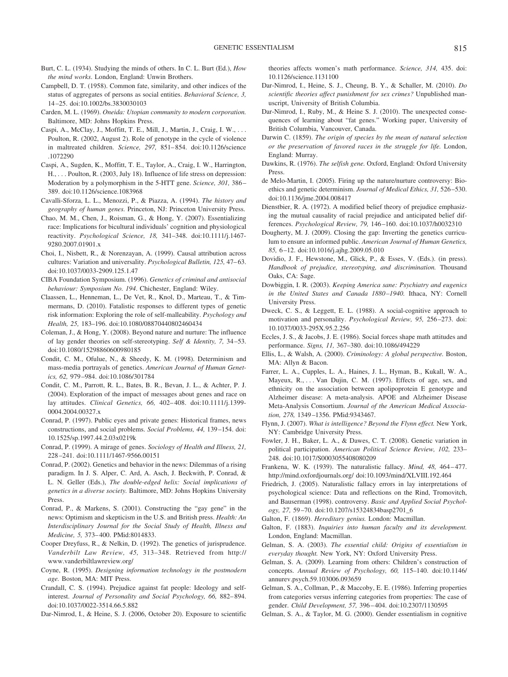- Burt, C. L. (1934). Studying the minds of others. In C. L. Burt (Ed.), *How the mind works*. London, England: Unwin Brothers.
- Campbell, D. T. (1958). Common fate, similarity, and other indices of the status of aggregates of persons as social entities. *Behavioral Science, 3,* 14 –25. doi:10.1002/bs.3830030103
- Carden, M. L. (1969). *Oneida: Utopian community to modern corporation.* Baltimore, MD: Johns Hopkins Press.
- Caspi, A., McClay, J., Moffitt, T. E., Mill, J., Martin, J., Craig, I. W., . . . Poulton, R. (2002, August 2). Role of genotype in the cycle of violence in maltreated children. *Science, 297,* 851– 854. doi:10.1126/science .1072290
- Caspi, A., Sugden, K., Moffitt, T. E., Taylor, A., Craig, I. W., Harrington, H., . . . Poulton, R. (2003, July 18). Influence of life stress on depression: Moderation by a polymorphism in the 5-HTT gene. *Science, 301,* 386 – 389. doi:10.1126/science.1083968
- Cavalli-Sforza, L. L., Menozzi, P., & Piazza, A. (1994). *The history and geography of human genes.* Princeton, NJ: Princeton University Press.
- Chao, M. M., Chen, J., Roisman, G., & Hong, Y. (2007). Essentializing race: Implications for bicultural individuals' cognition and physiological reactivity. *Psychological Science, 18,* 341–348. doi:10.1111/j.1467- 9280.2007.01901.x
- Choi, I., Nisbett, R., & Norenzayan, A. (1999). Causal attribution across cultures: Variation and universality. *Psychological Bulletin, 125, 47–63*. doi:10.1037/0033-2909.125.1.47
- CIBA Foundation Symposium. (1996). *Genetics of criminal and antisocial behaviour: Symposium No. 194*. Chichester, England: Wiley.
- Claassen, L., Henneman, L., De Vet, R., Knol, D., Marteau, T., & Timmermans, D. (2010). Fatalistic responses to different types of genetic risk information: Exploring the role of self-malleability. *Psychology and Health, 25,* 183–196. doi:10.1080/08870440802460434
- Coleman, J., & Hong, Y. (2008). Beyond nature and nurture: The influence of lay gender theories on self-stereotyping. *Self & Identity, 7,* 34 –53. doi:10.1080/15298860600980185
- Condit, C. M., Ofulue, N., & Sheedy, K. M. (1998). Determinism and mass-media portrayals of genetics. *American Journal of Human Genetics, 62,* 979 –984. doi:10.1086/301784
- Condit, C. M., Parrott, R. L., Bates, B. R., Bevan, J. L., & Achter, P. J. (2004). Exploration of the impact of messages about genes and race on lay attitudes. *Clinical Genetics, 66,* 402– 408. doi:10.1111/j.1399- 0004.2004.00327.x
- Conrad, P. (1997). Public eyes and private genes: Historical frames, news constructions, and social problems. *Social Problems, 44,* 139 –154. doi: 10.1525/sp.1997.44.2.03x0219k
- Conrad, P. (1999). A mirage of genes. *Sociology of Health and Illness, 21,* 228 –241. doi:10.1111/1467-9566.00151
- Conrad, P. (2002). Genetics and behavior in the news: Dilemmas of a rising paradigm. In J. S. Alper, C. Ard, A. Asch, J. Beckwith, P. Conrad, & L. N. Geller (Eds.), *The double-edged helix: Social implications of genetics in a diverse society.* Baltimore, MD: Johns Hopkins University Press.
- Conrad, P., & Markens, S. (2001). Constructing the "gay gene" in the news: Optimism and skepticism in the U.S. and British press. *Health: An Interdisciplinary Journal for the Social Study of Health, Illness and Medicine, 5,* 373– 400. PMid:8014833.
- Cooper Dreyfuss, R., & Nelkin, D. (1992). The genetics of jurisprudence. *Vanderbilt Law Review, 45,* 313–348. Retrieved from http:// www.vanderbiltlawreview.org/
- Coyne, R. (1995). *Designing information technology in the postmodern age.* Boston, MA: MIT Press.
- Crandall, C. S. (1994). Prejudice against fat people: Ideology and selfinterest. *Journal of Personality and Social Psychology, 66,* 882– 894. doi:10.1037/0022-3514.66.5.882
- Dar-Nimrod, I., & Heine, S. J. (2006, October 20). Exposure to scientific

theories affects women's math performance. *Science, 314,* 435. doi: 10.1126/science.1131100

- Dar-Nimrod, I., Heine, S. J., Cheung, B. Y., & Schaller, M. (2010). *Do scientific theories affect punishment for sex crimes?* Unpublished manuscript, University of British Columbia.
- Dar-Nimrod, I., Ruby, M., & Heine S. J. (2010). The unexpected consequences of learning about "fat genes." Working paper, University of British Columbia, Vancouver, Canada.
- Darwin C. (1859). *The origin of species by the mean of natural selection or the preservation of favored races in the struggle for life.* London, England: Murray.
- Dawkins, R. (1976). *The selfish gene.* Oxford, England: Oxford University Press.
- de Melo-Martin, I. (2005). Firing up the nature/nurture controversy: Bioethics and genetic determinism. *Journal of Medical Ethics, 31,* 526 –530. doi:10.1136/jme.2004.008417
- Dienstbier, R. A. (1972). A modified belief theory of prejudice emphasizing the mutual causality of racial prejudice and anticipated belief differences. *Psychological Review, 79,* 146 –160. doi:10.1037/h0032310
- Dougherty, M. J. (2009). Closing the gap: Inverting the genetics curriculum to ensure an informed public. *American Journal of Human Genetics, 85,* 6 –12. doi:10.1016/j.ajhg.2009.05.010
- Dovidio, J. F., Hewstone, M., Glick, P., & Esses, V. (Eds.). (in press). *Handbook of prejudice, stereotyping, and discrimination.* Thousand Oaks, CA: Sage.
- Dowbiggin, I. R. (2003). *Keeping America sane: Psychiatry and eugenics in the United States and Canada 1880 –1940.* Ithaca, NY: Cornell University Press.
- Dweck, C. S., & Leggett, E. L. (1988). A social-cognitive approach to motivation and personality. *Psychological Review, 95,* 256 –273. doi: 10.1037/0033-295X.95.2.256
- Eccles, J. S., & Jacobs, J. E. (1986). Social forces shape math attitudes and performance. *Signs, 11,* 367–380. doi:10.1086/494229
- Ellis, L., & Walsh, A. (2000). *Criminology: A global perspective.* Boston, MA: Allyn & Bacon.
- Farrer, L. A., Cupples, L. A., Haines, J. L., Hyman, B., Kukall, W. A., Mayeux, R., . . . Van Dujin, C. M. (1997). Effects of age, sex, and ethnicity on the association between apolipoprotein E genotype and Alzheimer disease: A meta-analysis. APOE and Alzheimer Disease Meta-Analysis Consortium. *Journal of the American Medical Association, 278,* 1349 –1356. PMid:9343467.
- Flynn, J. (2007). *What is intelligence? Beyond the Flynn effect.* New York, NY: Cambridge University Press.
- Fowler, J. H., Baker, L. A., & Dawes, C. T. (2008). Genetic variation in political participation. *American Political Science Review, 102,* 233– 248. doi:10.1017/S0003055408080209
- Frankena, W. K. (1939). The naturalistic fallacy. *Mind, 48,* 464 477. http://mind.oxfordjournals.org/ doi:10.1093/mind/XLVIII.192.464
- Friedrich, J. (2005). Naturalistic fallacy errors in lay interpretations of psychological science: Data and reflections on the Rind, Tromovitch, and Bauserman (1998). controversy. *Basic and Applied Social Psychology, 27,* 59 –70. doi:10.1207/s15324834basp2701\_6
- Galton, F. (1869). *Hereditary genius.* London: Macmillan.
- Galton, F. (1883). *Inquiries into human faculty and its development.* London, England: Macmillan.
- Gelman, S. A. (2003). *The essential child: Origins of essentialism in everyday thought.* New York, NY: Oxford University Press.
- Gelman, S. A. (2009). Learning from others: Children's construction of concepts. *Annual Review of Psychology, 60,* 115–140. doi:10.1146/ annurev.psych.59.103006.093659
- Gelman, S. A., Collman, P., & Maccoby, E. E. (1986). Inferring properties from categories versus inferring categories from properties: The case of gender. *Child Development, 57,* 396 – 404. doi:10.2307/1130595
- Gelman, S. A., & Taylor, M. G. (2000). Gender essentialism in cognitive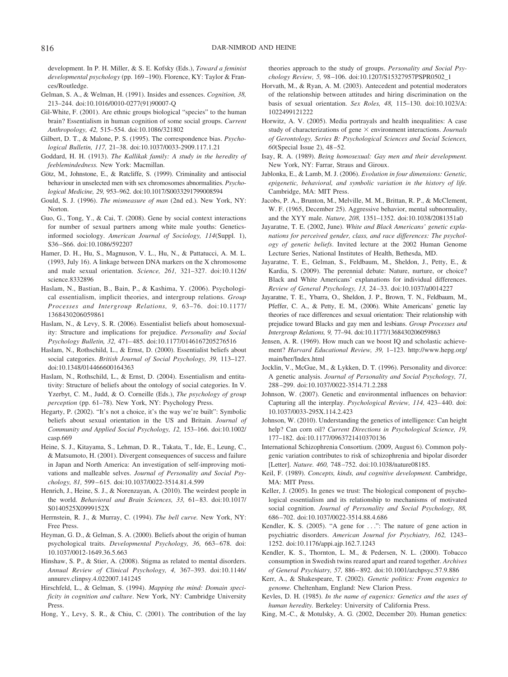development. In P. H. Miller, & S. E. Kofsky (Eds.), *Toward a feminist developmental psychology* (pp. 169 –190). Florence, KY: Taylor & Frances/Routledge.

- Gelman, S. A., & Welman, H. (1991). Insides and essences. *Cognition, 38,* 213–244. doi:10.1016/0010-0277(91)90007-Q
- Gil-White, F. (2001). Are ethnic groups biological "species" to the human brain? Essentialism in human cognition of some social groups. *Current Anthropology, 42,* 515–554. doi:10.1086/321802
- Gilbert, D. T., & Malone, P. S. (1995). The correspondence bias. *Psychological Bulletin, 117,* 21–38. doi:10.1037/0033-2909.117.1.21
- Goddard, H. H. (1913). *The Kallikak family: A study in the heredity of feeblemindedness.* New York: Macmillan.
- Götz, M., Johnstone, E., & Ratcliffe, S. (1999). Criminality and antisocial behaviour in unselected men with sex chromosomes abnormalities. *Psychological Medicine, 29,* 953–962. doi:10.1017/S0033291799008594
- Gould, S. J. (1996). *The mismeasure of man* (2nd ed.). New York, NY: Norton.
- Guo, G., Tong, Y., & Cai, T. (2008). Gene by social context interactions for number of sexual partners among white male youths: Geneticsinformed sociology. *American Journal of Sociology, 114*(Suppl. 1), S36 –S66. doi:10.1086/592207
- Hamer, D. H., Hu, S., Magnuson, V. L., Hu, N., & Pattatucci, A. M. L. (1993, July 16). A linkage between DNA markers on the X chromosome and male sexual orientation. *Science, 261,* 321–327. doi:10.1126/ science.8332896
- Haslam, N., Bastian, B., Bain, P., & Kashima, Y. (2006). Psychological essentialism, implicit theories, and intergroup relations. *Group Processes and Intergroup Relations, 9,* 63–76. doi:10.1177/ 1368430206059861
- Haslam, N., & Levy, S. R. (2006). Essentialist beliefs about homosexuality: Structure and implications for prejudice. *Personality and Social Psychology Bulletin, 32,* 471– 485. doi:10.1177/0146167205276516
- Haslam, N., Rothschild, L., & Ernst, D. (2000). Essentialist beliefs about social categories. *British Journal of Social Psychology, 39,* 113–127. doi:10.1348/014466600164363
- Haslam, N., Rothschild, L., & Ernst, D. (2004). Essentialism and entitativity: Structure of beliefs about the ontology of social categories. In V. Yzerbyt, C. M., Judd, & O. Corneille (Eds.), *The psychology of group perception* (pp. 61–78). New York, NY: Psychology Press.
- Hegarty, P. (2002). "It's not a choice, it's the way we're built": Symbolic beliefs about sexual orientation in the US and Britain. *Journal of Community and Applied Social Psychology, 12,* 153–166. doi:10.1002/ casp.669
- Heine, S. J., Kitayama, S., Lehman, D. R., Takata, T., Ide, E., Leung, C., & Matsumoto, H. (2001). Divergent consequences of success and failure in Japan and North America: An investigation of self-improving motivations and malleable selves. *Journal of Personality and Social Psychology, 81,* 599 – 615. doi:10.1037/0022-3514.81.4.599
- Henrich, J., Heine, S. J., & Norenzayan, A. (2010). The weirdest people in the world. *Behavioral and Brain Sciences*, 33, 61-83. doi:10.1017/ S0140525X0999152X
- Herrnstein, R. J., & Murray, C. (1994). *The bell curve.* New York, NY: Free Press.
- Heyman, G. D., & Gelman, S. A. (2000). Beliefs about the origin of human psychological traits. *Developmental Psychology*, 36, 663-678. doi: 10.1037/0012-1649.36.5.663
- Hinshaw, S. P., & Stier, A. (2008). Stigma as related to mental disorders. *Annual Review of Clinical Psychology, 4,* 367–393. doi:10.1146/ annurev.clinpsy.4.022007.141245
- Hirschfeld, L., & Gelman, S. (1994). *Mapping the mind: Domain specificity in cognition and culture*. New York, NY: Cambridge University Press.
- Hong, Y., Levy, S. R., & Chiu, C. (2001). The contribution of the lay

theories approach to the study of groups. *Personality and Social Psychology Review, 5,* 98 –106. doi:10.1207/S15327957PSPR0502\_1

- Horvath, M., & Ryan, A. M. (2003). Antecedent and potential moderators of the relationship between attitudes and hiring discrimination on the basis of sexual orientation. *Sex Roles, 48,* 115–130. doi:10.1023/A: 1022499121222
- Horwitz, A. V. (2005). Media portrayals and health inequalities: A case study of characterizations of gene  $\times$  environment interactions. *Journals of Gerontology, Series B: Psychological Sciences and Social Sciences, 60*(Special Issue 2), 48 –52.
- Isay, R. A. (1989). *Being homosexual: Gay men and their development.* New York, NY: Farrar, Straus and Giroux.
- Jablonka, E., & Lamb, M. J. (2006). *Evolution in four dimensions: Genetic, epigenetic, behavioral, and symbolic variation in the history of life.* Cambridge, MA: MIT Press.
- Jacobs, P. A., Brunton, M., Melville, M. M., Brittan, R. P., & McClement, W. F. (1965, December 25). Aggressive behavior, mental subnormality, and the XYY male. *Nature, 208,* 1351–1352. doi:10.1038/2081351a0
- Jayaratne, T. E. (2002, June). *White and Black Americans' genetic explanations for perceived gender, class, and race differences: The psychology of genetic beliefs*. Invited lecture at the 2002 Human Genome Lecture Series, National Institutes of Health, Bethesda, MD.
- Jayaratne, T. E., Gelman, S., Feldbaum, M., Sheldon, J., Petty, E., & Kardia, S. (2009). The perennial debate: Nature, nurture, or choice? Black and White Americans' explanations for individual differences. *Review of General Psychology, 13,* 24 –33. doi:10.1037/a0014227
- Jayaratne, T. E., Ybarra, O., Sheldon, J. P., Brown, T. N., Feldbaum, M., Pfeffer, C. A., & Petty, E. M., (2006). White Americans' genetic lay theories of race differences and sexual orientation: Their relationship with prejudice toward Blacks and gay men and lesbians. *Group Processes and Intergroup Relations, 9,* 77–94. doi:10.1177/1368430206059863
- Jensen, A. R. (1969). How much can we boost IQ and scholastic achievement? *Harvard Educational Review, 39,* 1–123. http://www.hepg.org/ main/her/Index.html
- Jocklin, V., McGue, M., & Lykken, D. T. (1996). Personality and divorce: A genetic analysis. *Journal of Personality and Social Psychology, 71,* 288 –299. doi:10.1037/0022-3514.71.2.288
- Johnson, W. (2007). Genetic and environmental influences on behavior: Capturing all the interplay. *Psychological Review, 114,* 423– 440. doi: 10.1037/0033-295X.114.2.423
- Johnson, W. (2010). Understanding the genetics of intelligence: Can height help? Can corn oil? *Current Directions in Psychological Science, 19,* 177–182. doi:10.1177/0963721410370136
- International Schizophrenia Consortium. (2009, August 6). Common polygenic variation contributes to risk of schizophrenia and bipolar disorder [Letter]. *Nature. 460,* 748 –752. doi:10.1038/nature08185.
- Keil, F. (1989). *Concepts, kinds, and cognitive development.* Cambridge, MA: MIT Press.
- Keller, J. (2005). In genes we trust: The biological component of psychological essentialism and its relationship to mechanisms of motivated social cognition. *Journal of Personality and Social Psychology, 88,* 686 –702. doi:10.1037/0022-3514.88.4.686
- Kendler, K. S. (2005). "A gene for . . .": The nature of gene action in psychiatric disorders. *American Journal for Psychiatry, 162,* 1243– 1252. doi:10.1176/appi.ajp.162.7.1243
- Kendler, K. S., Thornton, L. M., & Pedersen, N. L. (2000). Tobacco consumption in Swedish twins reared apart and reared together. *Archives of General Psychiatry, 57,* 886 – 892. doi:10.1001/archpsyc.57.9.886
- Kerr, A., & Shakespeare, T. (2002). *Genetic politics: From eugenics to genome.* Cheltenham, England: New Clarion Press.
- Kevles, D. H. (1985). *In the name of eugenics: Genetics and the uses of human heredity.* Berkeley: University of California Press.
- King, M.-C., & Motulsky, A. G. (2002, December 20). Human genetics: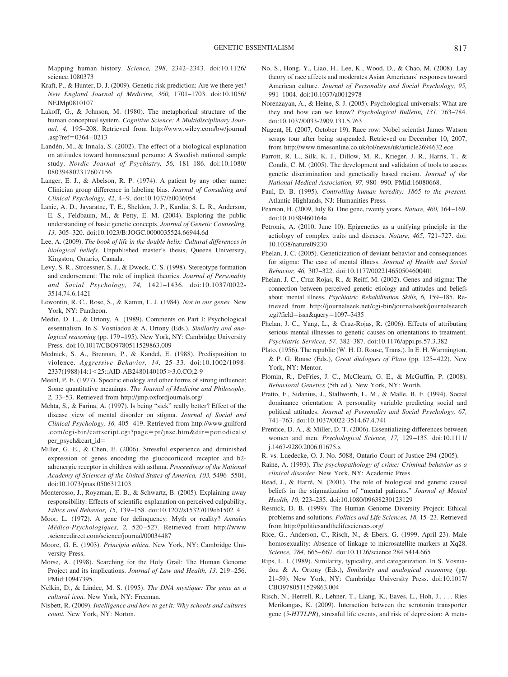Mapping human history. *Science, 298,* 2342–2343. doi:10.1126/ science.1080373

- Kraft, P., & Hunter, D. J. (2009). Genetic risk prediction: Are we there yet? *New England Journal of Medicine, 360,* 1701–1703. doi:10.1056/ NEJMp0810107
- Lakoff, G., & Johnson, M. (1980). The metaphorical structure of the human conceptual system. *Cognitive Science: A Multidisciplinary Journal, 4,* 195–208. Retrieved from http://www.wiley.com/bw/journal .asp?ref= $0364 - 0213$
- Landén, M., & Innala, S. (2002). The effect of a biological explanation on attitudes toward homosexual persons: A Swedish national sample study. *Nordic Journal of Psychiatry, 56,* 181–186. doi:10.1080/ 080394802317607156
- Langer, E. J., & Abelson, R. P. (1974). A patient by any other name: Clinician group difference in labeling bias. *Journal of Consulting and Clinical Psychology, 42,* 4 –9. doi:10.1037/h0036054
- Lanie, A. D., Jayaratne, T. E., Sheldon, J. P., Kardia, S. L. R., Anderson, E. S., Feldbaum, M., & Petty, E. M. (2004). Exploring the public understanding of basic genetic concepts. *Journal of Genetic Counseling, 13,* 305–320. doi:10.1023/B:JOGC.0000035524.66944.6d
- Lee, A. (2009). *The book of life in the double helix: Cultural differences in biological beliefs.* Unpublished master's thesis, Queens University, Kingston, Ontario, Canada.
- Levy, S. R., Stroessner, S. J., & Dweck, C. S. (1998). Stereotype formation and endorsement: The role of implicit theories. *Journal of Personality and Social Psychology, 74,* 1421–1436. doi:10.1037/0022- 3514.74.6.1421
- Lewontin, R. C., Rose, S., & Kamin, L. J. (1984). *Not in our genes.* New York, NY: Pantheon.
- Medin, D. L., & Ortony, A. (1989). Comments on Part I: Psychological essentialism. In S. Vosniadou & A. Ortony (Eds.), *Similarity and analogical reasoning* (pp. 179 –195). New York, NY: Cambridge University Press. doi:10.1017/CBO9780511529863.009
- Mednick, S. A., Brennan, P., & Kandel, E. (1988). Predisposition to violence. *Aggressive Behavior, 14,* 25–33. doi:10.1002/1098- 2337(1988)14:1<25::AID-AB2480140105>3.0.CO;2-9
- Meehl, P. E. (1977). Specific etiology and other forms of strong influence: Some quantitative meanings. *The Journal of Medicine and Philosophy, 2,* 33–53. Retrieved from http://jmp.oxfordjournals.org/
- Mehta, S., & Farina, A. (1997). Is being "sick" really better? Effect of the disease view of mental disorder on stigma. *Journal of Social and Clinical Psychology, 16,* 405– 419. Retrieved from http://www.guilford .com/cgi-bin/cartscript.cgi?page=pr/jnsc.htm&dir=periodicals/ per\_psych&cart\_id"
- Miller, G. E., & Chen, E. (2006). Stressful experience and diminished expression of genes encoding the glucocorticoid receptor and b2 adrenergic receptor in children with asthma. *Proceedings of the National Academy of Sciences of the United States of America, 103,* 5496 –5501. doi:10.1073/pnas.0506312103
- Monterosso, J., Royzman, E. B., & Schwartz, B. (2005). Explaining away responsibility: Effects of scientific explanation on perceived culpability. *Ethics and Behavior, 15,* 139 –158. doi:10.1207/s15327019eb1502\_4
- Moor, L. (1972). A gene for delinquency: Myth or reality? *Annales Me´dico-Psychologiques, 2,* 520 –527. Retrieved from http://www .sciencedirect.com/science/journal/00034487
- Moore, G. E. (1903). *Principia ethica.* New York, NY: Cambridge University Press.
- Morse, A. (1998). Searching for the Holy Grail: The Human Genome Project and its implications. *Journal of Law and Health, 13,* 219 –256. PMid:10947395.
- Nelkin, D., & Lindee, M. S. (1995). *The DNA mystique: The gene as a cultural icon.* New York, NY: Freeman.
- Nisbett, R. (2009). *Intelligence and how to get it: Why schools and cultures count.* New York, NY: Norton.
- No, S., Hong, Y., Liao, H., Lee, K., Wood, D., & Chao, M. (2008). Lay theory of race affects and moderates Asian Americans' responses toward American culture. *Journal of Personality and Social Psychology, 95,* 991–1004. doi:10.1037/a0012978
- Norenzayan, A., & Heine, S. J. (2005). Psychological universals: What are they and how can we know? *Psychological Bulletin, 131,* 763–784. doi:10.1037/0033-2909.131.5.763
- Nugent, H. (2007, October 19). Race row: Nobel scientist James Watson scraps tour after being suspended. Retrieved on December 10, 2007, from http://www.timesonline.co.uk/tol/news/uk/article2694632.ece
- Parrott, R. L., Silk, K. J., Dillow, M. R., Krieger, J. R., Harris, T., & Condit, C. M. (2005). The development and validation of tools to assess genetic discrimination and genetically based racism. *Journal of the National Medical Association, 97,* 980 –990. PMid:16080668.
- Paul, D. B. (1995). *Controlling human heredity: 1865 to the present.* Atlantic Highlands, NJ: Humanities Press.
- Pearson, H. (2009, July 8). One gene, twenty years. *Nature, 460,* 164 –169. doi:10.1038/460164a
- Petronis, A. (2010, June 10). Epigenetics as a unifying principle in the aetiology of complex traits and diseases. *Nature, 465,* 721–727. doi: 10.1038/nature09230
- Phelan, J. C. (2005). Geneticization of deviant behavior and consequences for stigma: The case of mental illness. *Journal of Health and Social Behavior, 46,* 307–322. doi:10.1177/002214650504600401
- Phelan, J. C., Cruz-Rojas, R., & Reiff, M. (2002). Genes and stigma: The connection between perceived genetic etiology and attitudes and beliefs about mental illness. *Psychiatric Rehabilitation Skills, 6,* 159 –185. Retrieved from http://journalseek.net/cgi-bin/journalseek/journalsearch .cgi?field=issn&query=1097-3435
- Phelan, J. C., Yang, L., & Cruz-Rojas, R. (2006). Effects of attributing serious mental illnesses to genetic causes on orientations to treatment. *Psychiatric Services, 57,* 382–387. doi:10.1176/appi.ps.57.3.382
- Plato. (1956). The republic (W. H. D. Rouse, Trans.). In E. H. Warmington, & P. G. Rouse (Eds.), *Great dialogues of Plato* (pp. 125– 422). New York, NY: Mentor.
- Plomin, R., DeFries, J. C., McClearn, G. E., & McGuffin, P. (2008). *Behavioral Genetics* (5th ed.)*.* New York, NY: Worth.
- Pratto, F., Sidanius, J., Stallworth, L. M., & Malle, B. F. (1994). Social dominance orientation: A personality variable predicting social and political attitudes. *Journal of Personality and Social Psychology, 67,* 741–763. doi:10.1037/0022-3514.67.4.741
- Prentice, D. A., & Miller, D. T. (2006). Essentializing differences between women and men. *Psychological Science, 17,* 129 –135. doi:10.1111/ j.1467-9280.2006.01675.x
- R. vs. Luedecke, O. J. No. 5088, Ontario Court of Justice 294 (2005).
- Raine, A. (1993). *The psychopathology of crime: Criminal behavior as a clinical disorder.* New York, NY: Academic Press.
- Read, J., & Harré, N. (2001). The role of biological and genetic causal beliefs in the stigmatization of "mental patients." *Journal of Mental Health, 10,* 223–235. doi:10.1080/09638230123129
- Resnick, D. B. (1999). The Human Genome Diversity Project: Ethical problems and solutions. *Politics and Life Sciences, 18,* 15–23. Retrieved from http://politicsandthelifesciences.org/
- Rice, G., Anderson, C., Risch, N., & Ebers, G. (1999, April 23). Male homosexuality: Absence of linkage to microsatellite markers at Xq28. *Science, 284,* 665– 667. doi:10.1126/science.284.5414.665
- Rips, L. I. (1989). Similarity, typicality, and categorization. In S. Vosniadou & A. Ortony (Eds.), *Similarity and analogical reasoning* (pp. 21–59). New York, NY: Cambridge University Press. doi:10.1017/ CBO9780511529863.004
- Risch, N., Herrell, R., Lehner, T., Liang, K., Eaves, L., Hoh, J., . . . Ries Merikangas, K. (2009). Interaction between the serotonin transporter gene (*5-HTTLPR*), stressful life events, and risk of depression: A meta-